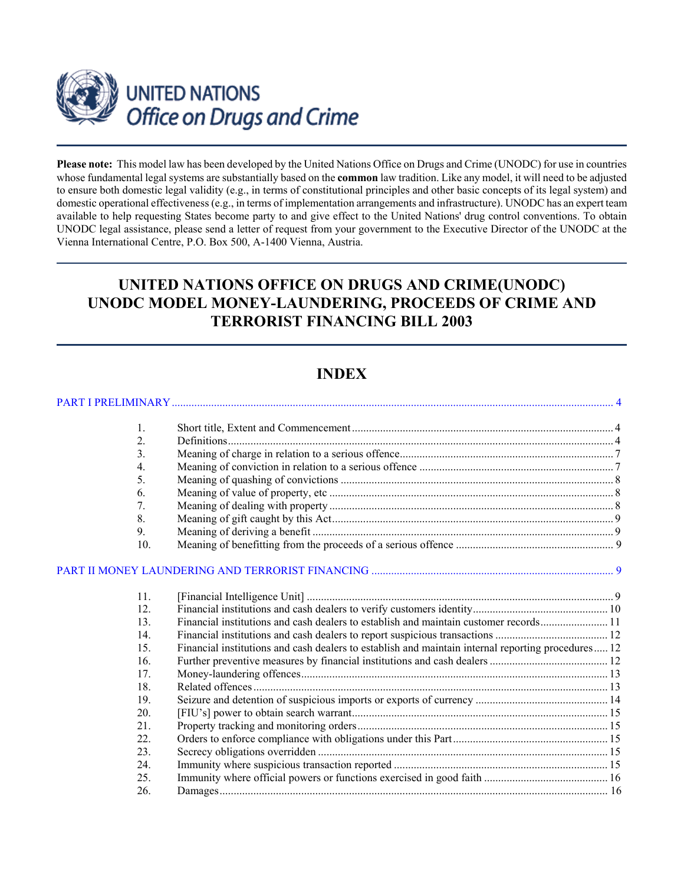

**Please note:** This model law has been developed by the United Nations Office on Drugs and Crime (UNODC) for use in countries whose fundamental legal systems are substantially based on the **common** law tradition. Like any model, it will need to be adjusted to ensure both domestic legal validity (e.g., in terms of constitutional principles and other basic concepts of its legal system) and domestic operational effectiveness (e.g., in terms of implementation arrangements and infrastructure). UNODC has an expert team available to help requesting States become party to and give effect to the United Nations' drug control conventions. To obtain UNODC legal assistance, please send a letter of request from your government to the Executive Director of the UNODC at the Vienna International Centre, P.O. Box 500, A-1400 Vienna, Austria.

# **UNITED NATIONS OFFICE ON DRUGS AND CRIME(UNODC) UNODC MODEL MONEY-LAUNDERING, PROCEEDS OF CRIME AND TERRORIST FINANCING BILL 2003**

# **INDEX**

| 1.  |                                                                                                    |  |
|-----|----------------------------------------------------------------------------------------------------|--|
| 2.  |                                                                                                    |  |
| 3.  |                                                                                                    |  |
| 4.  |                                                                                                    |  |
| 5.  |                                                                                                    |  |
| 6.  |                                                                                                    |  |
| 7.  |                                                                                                    |  |
| 8.  |                                                                                                    |  |
| 9.  |                                                                                                    |  |
| 10. |                                                                                                    |  |
|     |                                                                                                    |  |
| 11. |                                                                                                    |  |
| 12. |                                                                                                    |  |
| 13. | Financial institutions and cash dealers to establish and maintain customer records11               |  |
| 14. |                                                                                                    |  |
| 15. | Financial institutions and cash dealers to establish and maintain internal reporting procedures 12 |  |
| 16. |                                                                                                    |  |
| 17. |                                                                                                    |  |
| 18. |                                                                                                    |  |
| 19. |                                                                                                    |  |
| 20. |                                                                                                    |  |
| 21. |                                                                                                    |  |
| 22. |                                                                                                    |  |
| 23. |                                                                                                    |  |
| 24. |                                                                                                    |  |
| 25. |                                                                                                    |  |
| 26. |                                                                                                    |  |
|     |                                                                                                    |  |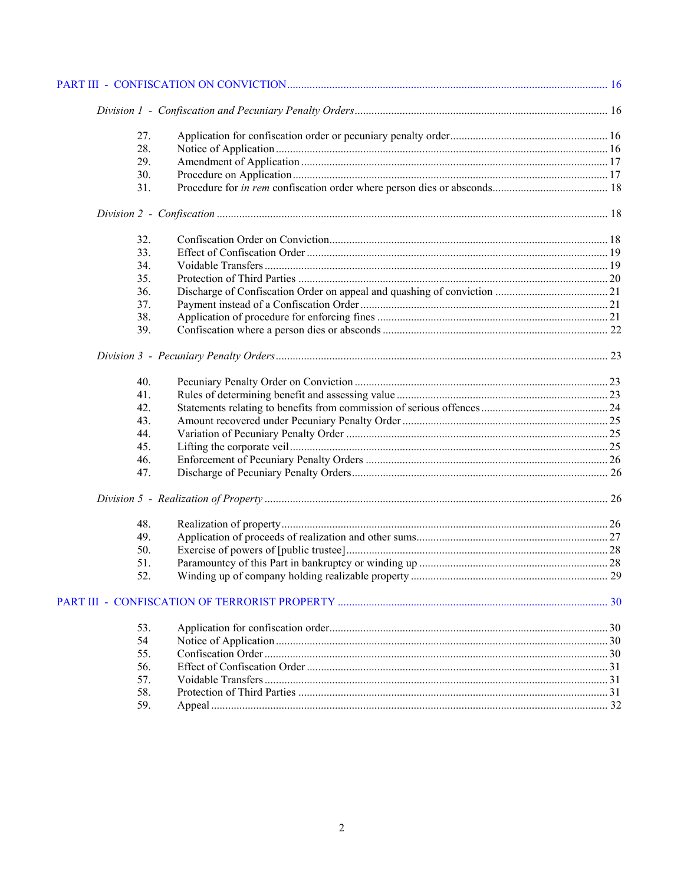| 27. |     |
|-----|-----|
| 28. |     |
| 29. |     |
| 30. |     |
| 31. |     |
|     |     |
| 32. |     |
| 33. |     |
| 34. |     |
| 35. |     |
| 36. |     |
| 37. |     |
| 38. |     |
| 39. |     |
|     |     |
| 40. |     |
| 41. |     |
| 42. |     |
| 43. |     |
| 44. |     |
| 45. |     |
| 46. |     |
| 47. |     |
|     |     |
| 48. |     |
| 49. |     |
| 50. |     |
| 51. |     |
| 52  | .29 |
|     |     |
| 53. |     |
| 54  |     |
| 55. |     |
| 56. |     |
| 57. |     |
| 58. |     |
| 59. |     |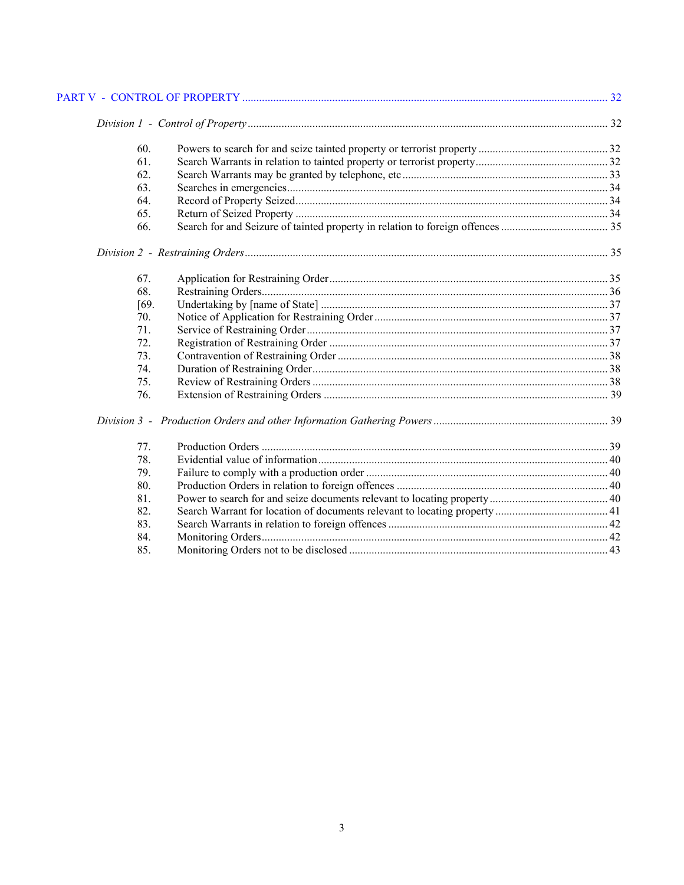| 60.  |  |  |  |  |
|------|--|--|--|--|
| 61.  |  |  |  |  |
| 62.  |  |  |  |  |
| 63.  |  |  |  |  |
| 64.  |  |  |  |  |
| 65.  |  |  |  |  |
| 66.  |  |  |  |  |
|      |  |  |  |  |
| 67.  |  |  |  |  |
| 68.  |  |  |  |  |
| [69] |  |  |  |  |
| 70.  |  |  |  |  |
| 71.  |  |  |  |  |
| 72.  |  |  |  |  |
| 73.  |  |  |  |  |
| 74.  |  |  |  |  |
| 75.  |  |  |  |  |
| 76.  |  |  |  |  |
|      |  |  |  |  |
| 77.  |  |  |  |  |
| 78.  |  |  |  |  |
| 79.  |  |  |  |  |
| 80.  |  |  |  |  |
| 81.  |  |  |  |  |
| 82.  |  |  |  |  |
| 83.  |  |  |  |  |
| 84.  |  |  |  |  |
| 85.  |  |  |  |  |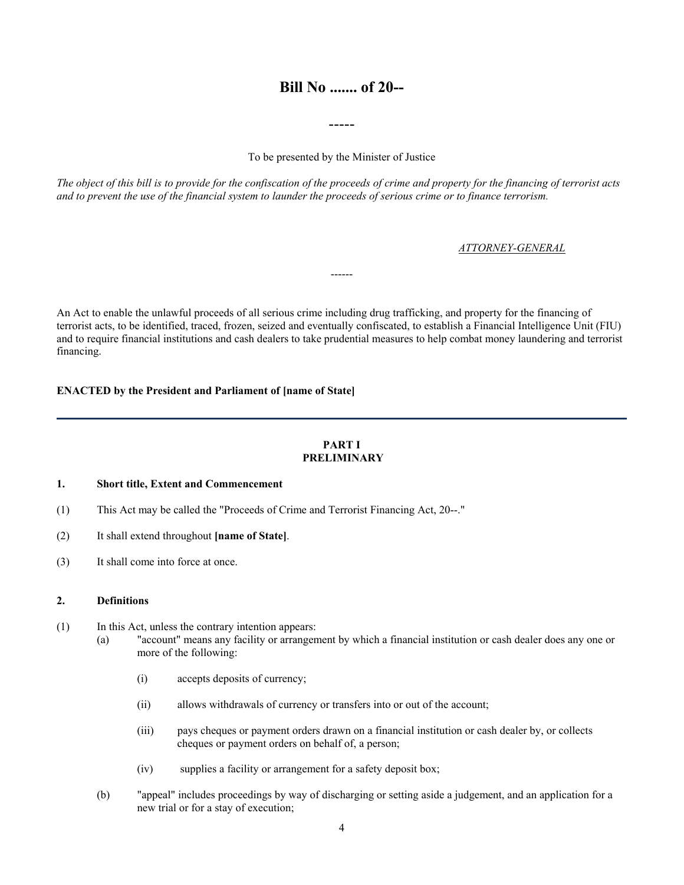# **Bill No ....... of 20--**

To be presented by the Minister of Justice

-----

<span id="page-3-0"></span>*The object of this bill is to provide for the confiscation of the proceeds of crime and property for the financing of terrorist acts and to prevent the use of the financial system to launder the proceeds of serious crime or to finance terrorism.*

# *ATTORNEY-GENERAL*

An Act to enable the unlawful proceeds of all serious crime including drug trafficking, and property for the financing of terrorist acts, to be identified, traced, frozen, seized and eventually confiscated, to establish a Financial Intelligence Unit (FIU) and to require financial institutions and cash dealers to take prudential measures to help combat money laundering and terrorist financing.

------

#### **ENACTED by the President and Parliament of [name of State]**

# **PART I PRELIMINARY**

## **1. Short title, Extent and Commencement**

- (1) This Act may be called the "Proceeds of Crime and Terrorist Financing Act, 20--."
- (2) It shall extend throughout **[name of State]**.
- (3) It shall come into force at once.

#### **2. Definitions**

- (1) In this Act, unless the contrary intention appears:
	- (a) "account" means any facility or arrangement by which a financial institution or cash dealer does any one or more of the following:
		- (i) accepts deposits of currency;
		- (ii) allows withdrawals of currency or transfers into or out of the account;
		- (iii) pays cheques or payment orders drawn on a financial institution or cash dealer by, or collects cheques or payment orders on behalf of, a person;
		- (iv) supplies a facility or arrangement for a safety deposit box;
	- (b) "appeal" includes proceedings by way of discharging or setting aside a judgement, and an application for a new trial or for a stay of execution;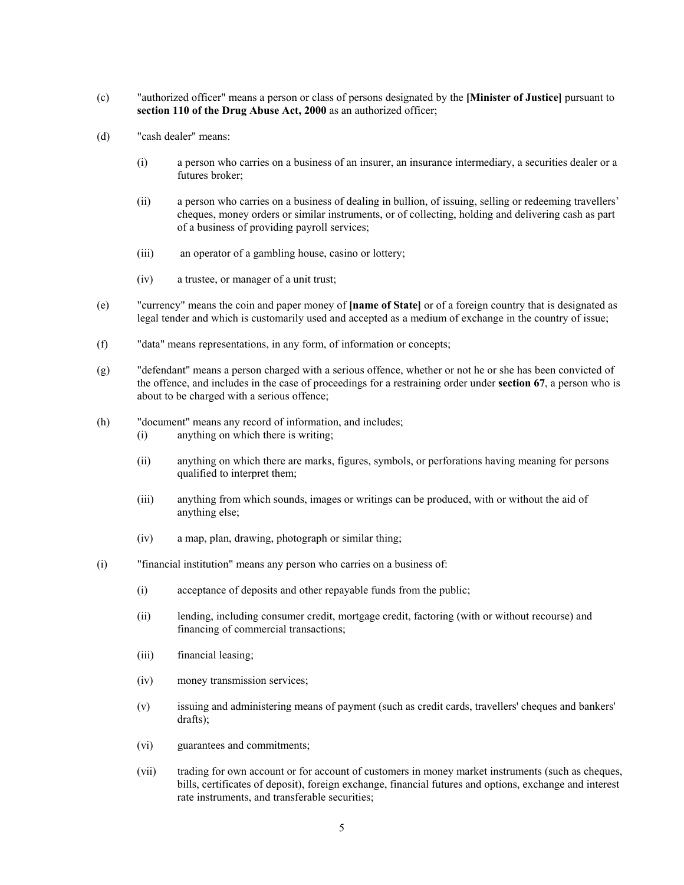- (c) "authorized officer" means a person or class of persons designated by the **[Minister of Justice]** pursuant to **section 110 of the Drug Abuse Act, 2000** as an authorized officer;
- (d) "cash dealer" means:
	- (i) a person who carries on a business of an insurer, an insurance intermediary, a securities dealer or a futures broker;
	- (ii) a person who carries on a business of dealing in bullion, of issuing, selling or redeeming travellers' cheques, money orders or similar instruments, or of collecting, holding and delivering cash as part of a business of providing payroll services;
	- (iii) an operator of a gambling house, casino or lottery;
	- (iv) a trustee, or manager of a unit trust;
- (e) "currency" means the coin and paper money of **[name of State]** or of a foreign country that is designated as legal tender and which is customarily used and accepted as a medium of exchange in the country of issue;
- (f) "data" means representations, in any form, of information or concepts;
- (g) "defendant" means a person charged with a serious offence, whether or not he or she has been convicted of the offence, and includes in the case of proceedings for a restraining order under **section 67**, a person who is about to be charged with a serious offence;
- (h) "document" means any record of information, and includes;
	- (i) anything on which there is writing;
	- (ii) anything on which there are marks, figures, symbols, or perforations having meaning for persons qualified to interpret them;
	- (iii) anything from which sounds, images or writings can be produced, with or without the aid of anything else;
	- (iv) a map, plan, drawing, photograph or similar thing;
- (i) "financial institution" means any person who carries on a business of:
	- (i) acceptance of deposits and other repayable funds from the public;
	- (ii) lending, including consumer credit, mortgage credit, factoring (with or without recourse) and financing of commercial transactions;
	- (iii) financial leasing;
	- (iv) money transmission services;
	- (v) issuing and administering means of payment (such as credit cards, travellers' cheques and bankers' drafts);
	- (vi) guarantees and commitments;
	- (vii) trading for own account or for account of customers in money market instruments (such as cheques, bills, certificates of deposit), foreign exchange, financial futures and options, exchange and interest rate instruments, and transferable securities;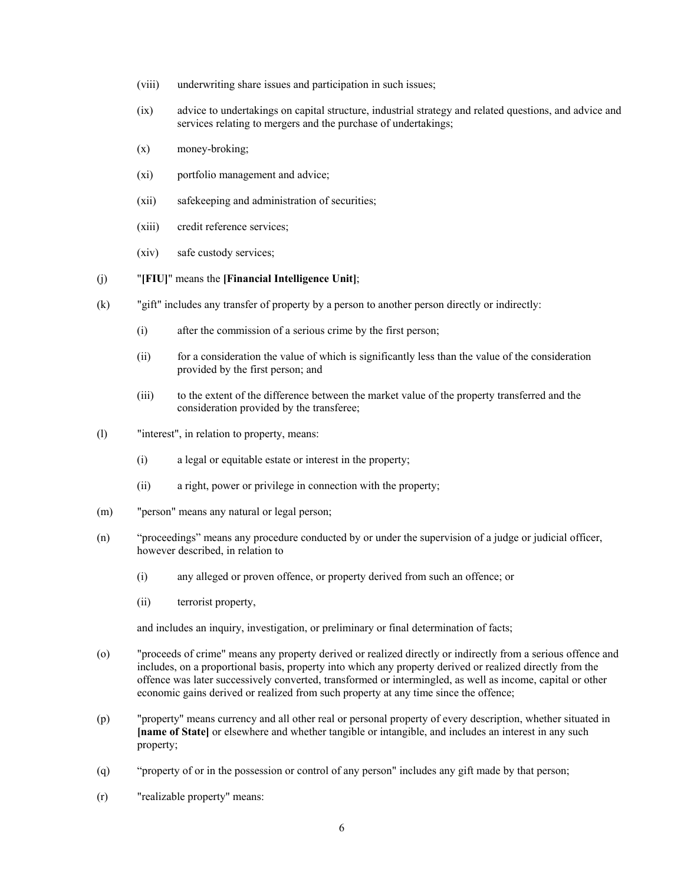- (viii) underwriting share issues and participation in such issues;
- (ix) advice to undertakings on capital structure, industrial strategy and related questions, and advice and services relating to mergers and the purchase of undertakings;
- (x) money-broking;
- (xi) portfolio management and advice;
- (xii) safekeeping and administration of securities;
- (xiii) credit reference services;
- (xiv) safe custody services;
- (j) "**[FIU]**" means the **[Financial Intelligence Unit]**;
- (k) "gift" includes any transfer of property by a person to another person directly or indirectly:
	- (i) after the commission of a serious crime by the first person;
	- (ii) for a consideration the value of which is significantly less than the value of the consideration provided by the first person; and
	- (iii) to the extent of the difference between the market value of the property transferred and the consideration provided by the transferee;
- (l) "interest", in relation to property, means:
	- (i) a legal or equitable estate or interest in the property;
	- (ii) a right, power or privilege in connection with the property;
- (m) "person" means any natural or legal person;
- (n) "proceedings" means any procedure conducted by or under the supervision of a judge or judicial officer, however described, in relation to
	- (i) any alleged or proven offence, or property derived from such an offence; or
	- (ii) terrorist property,

and includes an inquiry, investigation, or preliminary or final determination of facts;

- (o) "proceeds of crime" means any property derived or realized directly or indirectly from a serious offence and includes, on a proportional basis, property into which any property derived or realized directly from the offence was later successively converted, transformed or intermingled, as well as income, capital or other economic gains derived or realized from such property at any time since the offence;
- (p) "property" means currency and all other real or personal property of every description, whether situated in **[name of State]** or elsewhere and whether tangible or intangible, and includes an interest in any such property;
- (q) "property of or in the possession or control of any person" includes any gift made by that person;
- (r) "realizable property" means: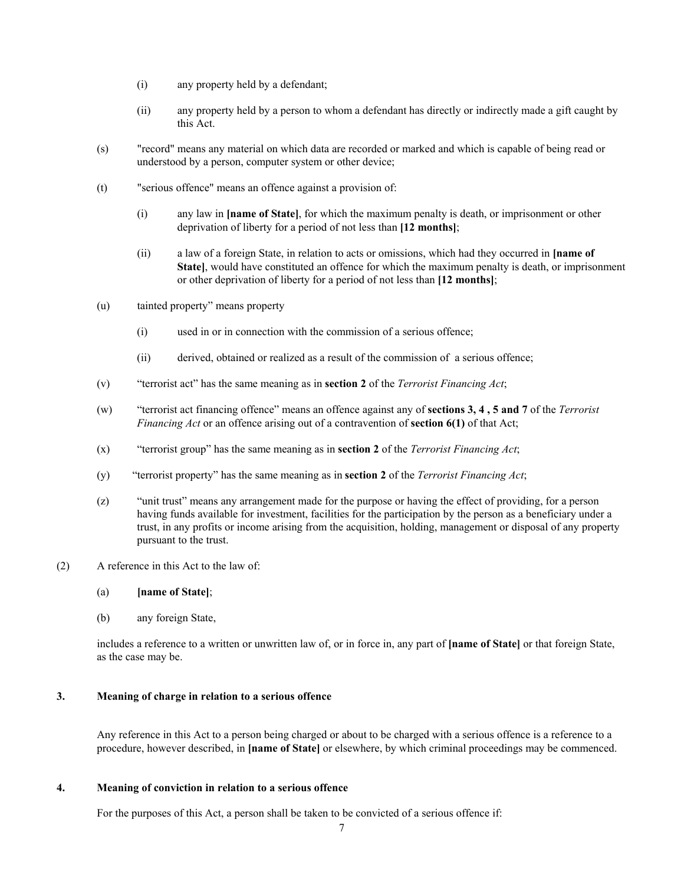- <span id="page-6-0"></span>(i) any property held by a defendant;
- (ii) any property held by a person to whom a defendant has directly or indirectly made a gift caught by this Act.
- (s) "record" means any material on which data are recorded or marked and which is capable of being read or understood by a person, computer system or other device;
- (t) "serious offence" means an offence against a provision of:
	- (i) any law in **[name of State]**, for which the maximum penalty is death, or imprisonment or other deprivation of liberty for a period of not less than **[12 months]**;
	- (ii) a law of a foreign State, in relation to acts or omissions, which had they occurred in **[name of State]**, would have constituted an offence for which the maximum penalty is death, or imprisonment or other deprivation of liberty for a period of not less than **[12 months]**;
- (u) tainted property" means property
	- (i) used in or in connection with the commission of a serious offence;
	- (ii) derived, obtained or realized as a result of the commission of a serious offence;
- (v) "terrorist act" has the same meaning as in **section 2** of the *Terrorist Financing Act*;
- (w) "terrorist act financing offence" means an offence against any of **sections 3, 4 , 5 and 7** of the *Terrorist Financing Act* or an offence arising out of a contravention of **section 6(1)** of that Act;
- (x) "terrorist group" has the same meaning as in **section 2** of the *Terrorist Financing Act*;
- (y) "terrorist property" has the same meaning as in **section 2** of the *Terrorist Financing Act*;
- (z) "unit trust" means any arrangement made for the purpose or having the effect of providing, for a person having funds available for investment, facilities for the participation by the person as a beneficiary under a trust, in any profits or income arising from the acquisition, holding, management or disposal of any property pursuant to the trust.
- (2) A reference in this Act to the law of:

#### (a) **[name of State]**;

(b) any foreign State,

includes a reference to a written or unwritten law of, or in force in, any part of **[name of State]** or that foreign State, as the case may be.

#### **3. Meaning of charge in relation to a serious offence**

Any reference in this Act to a person being charged or about to be charged with a serious offence is a reference to a procedure, however described, in **[name of State]** or elsewhere, by which criminal proceedings may be commenced.

#### **4. Meaning of conviction in relation to a serious offence**

For the purposes of this Act, a person shall be taken to be convicted of a serious offence if: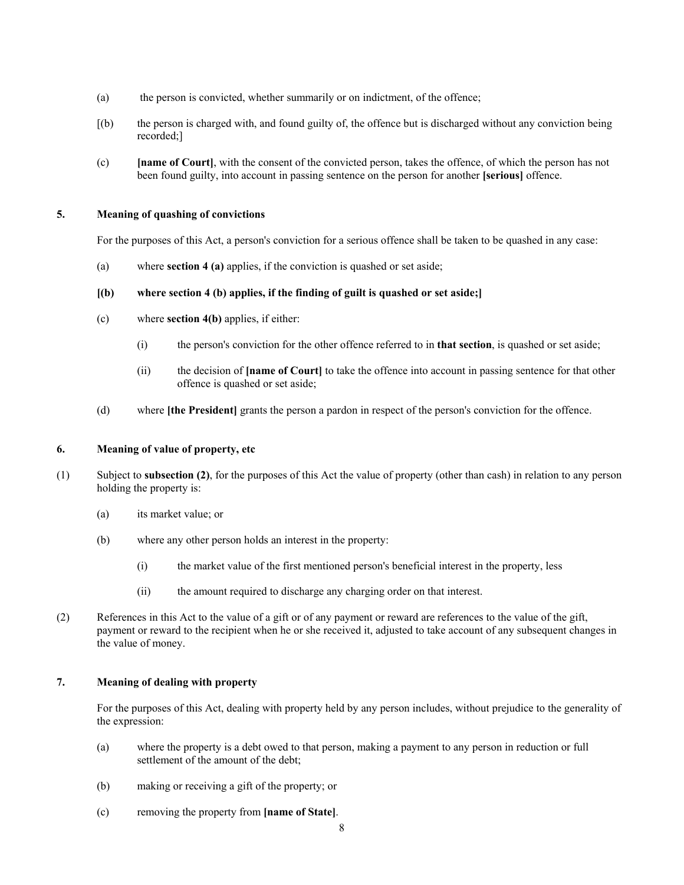- <span id="page-7-0"></span>(a) the person is convicted, whether summarily or on indictment, of the offence;
- [(b) the person is charged with, and found guilty of, the offence but is discharged without any conviction being recorded;]
- (c) **[name of Court]**, with the consent of the convicted person, takes the offence, of which the person has not been found guilty, into account in passing sentence on the person for another **[serious]** offence.

## **5. Meaning of quashing of convictions**

For the purposes of this Act, a person's conviction for a serious offence shall be taken to be quashed in any case:

(a) where **section 4 (a)** applies, if the conviction is quashed or set aside;

# **[(b) where section 4 (b) applies, if the finding of guilt is quashed or set aside;]**

- (c) where **section 4(b)** applies, if either:
	- (i) the person's conviction for the other offence referred to in **that section**, is quashed or set aside;
	- (ii) the decision of **[name of Court]** to take the offence into account in passing sentence for that other offence is quashed or set aside;
- (d) where **[the President]** grants the person a pardon in respect of the person's conviction for the offence.

# **6. Meaning of value of property, etc**

- (1) Subject to **subsection (2)**, for the purposes of this Act the value of property (other than cash) in relation to any person holding the property is:
	- (a) its market value; or
	- (b) where any other person holds an interest in the property:
		- (i) the market value of the first mentioned person's beneficial interest in the property, less
		- (ii) the amount required to discharge any charging order on that interest.
- (2) References in this Act to the value of a gift or of any payment or reward are references to the value of the gift, payment or reward to the recipient when he or she received it, adjusted to take account of any subsequent changes in the value of money.

# **7. Meaning of dealing with property**

For the purposes of this Act, dealing with property held by any person includes, without prejudice to the generality of the expression:

- (a) where the property is a debt owed to that person, making a payment to any person in reduction or full settlement of the amount of the debt;
- (b) making or receiving a gift of the property; or
- (c) removing the property from **[name of State]**.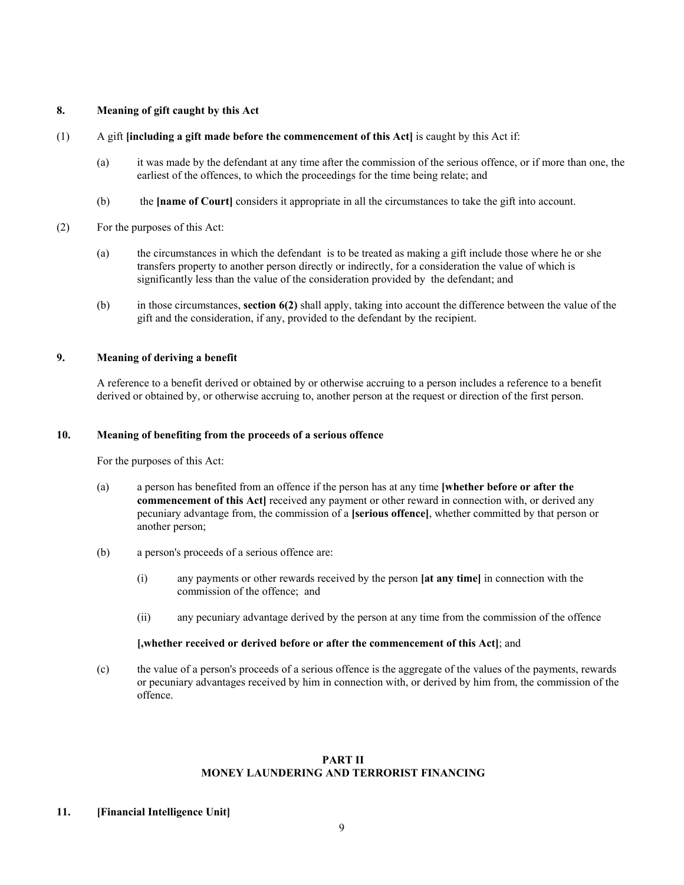# <span id="page-8-0"></span>**8. Meaning of gift caught by this Act**

## (1) A gift **[including a gift made before the commencement of this Act]** is caught by this Act if:

- (a) it was made by the defendant at any time after the commission of the serious offence, or if more than one, the earliest of the offences, to which the proceedings for the time being relate; and
- (b) the **[name of Court]** considers it appropriate in all the circumstances to take the gift into account.
- (2) For the purposes of this Act:
	- (a) the circumstances in which the defendant is to be treated as making a gift include those where he or she transfers property to another person directly or indirectly, for a consideration the value of which is significantly less than the value of the consideration provided by the defendant; and
	- (b) in those circumstances, **section 6(2)** shall apply, taking into account the difference between the value of the gift and the consideration, if any, provided to the defendant by the recipient.

# **9. Meaning of deriving a benefit**

A reference to a benefit derived or obtained by or otherwise accruing to a person includes a reference to a benefit derived or obtained by, or otherwise accruing to, another person at the request or direction of the first person.

# **10. Meaning of benefiting from the proceeds of a serious offence**

For the purposes of this Act:

- (a) a person has benefited from an offence if the person has at any time **[whether before or after the commencement of this Act]** received any payment or other reward in connection with, or derived any pecuniary advantage from, the commission of a **[serious offence]**, whether committed by that person or another person;
- (b) a person's proceeds of a serious offence are:
	- (i) any payments or other rewards received by the person **[at any time]** in connection with the commission of the offence; and
	- (ii) any pecuniary advantage derived by the person at any time from the commission of the offence

#### **[,whether received or derived before or after the commencement of this Act]**; and

(c) the value of a person's proceeds of a serious offence is the aggregate of the values of the payments, rewards or pecuniary advantages received by him in connection with, or derived by him from, the commission of the offence.

# **PART II MONEY LAUNDERING AND TERRORIST FINANCING**

# **11. [Financial Intelligence Unit]**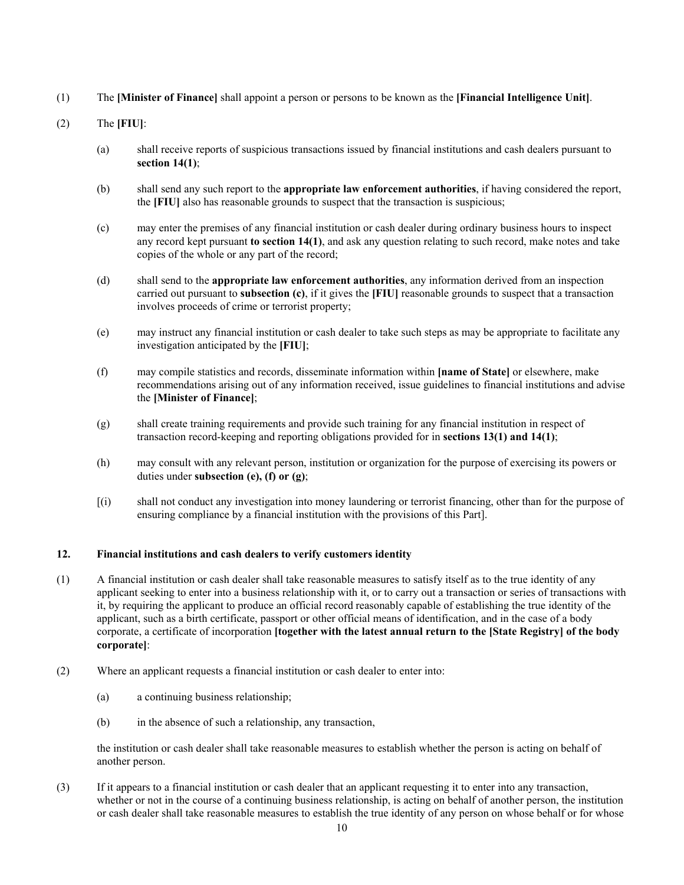<span id="page-9-0"></span>(1) The **[Minister of Finance]** shall appoint a person or persons to be known as the **[Financial Intelligence Unit]**.

# (2) The **[FIU]**:

- (a) shall receive reports of suspicious transactions issued by financial institutions and cash dealers pursuant to **section 14(1)**;
- (b) shall send any such report to the **appropriate law enforcement authorities**, if having considered the report, the **[FIU]** also has reasonable grounds to suspect that the transaction is suspicious;
- (c) may enter the premises of any financial institution or cash dealer during ordinary business hours to inspect any record kept pursuant **to section 14(1)**, and ask any question relating to such record, make notes and take copies of the whole or any part of the record;
- (d) shall send to the **appropriate law enforcement authorities**, any information derived from an inspection carried out pursuant to **subsection (c)**, if it gives the **[FIU]** reasonable grounds to suspect that a transaction involves proceeds of crime or terrorist property;
- (e) may instruct any financial institution or cash dealer to take such steps as may be appropriate to facilitate any investigation anticipated by the **[FIU]**;
- (f) may compile statistics and records, disseminate information within **[name of State]** or elsewhere, make recommendations arising out of any information received, issue guidelines to financial institutions and advise the **[Minister of Finance]**;
- (g) shall create training requirements and provide such training for any financial institution in respect of transaction record-keeping and reporting obligations provided for in **sections 13(1) and 14(1)**;
- (h) may consult with any relevant person, institution or organization for the purpose of exercising its powers or duties under **subsection (e), (f) or (g)**;
- [(i) shall not conduct any investigation into money laundering or terrorist financing, other than for the purpose of ensuring compliance by a financial institution with the provisions of this Part].

# **12. Financial institutions and cash dealers to verify customers identity**

- (1) A financial institution or cash dealer shall take reasonable measures to satisfy itself as to the true identity of any applicant seeking to enter into a business relationship with it, or to carry out a transaction or series of transactions with it, by requiring the applicant to produce an official record reasonably capable of establishing the true identity of the applicant, such as a birth certificate, passport or other official means of identification, and in the case of a body corporate, a certificate of incorporation **[together with the latest annual return to the [State Registry] of the body corporate]**:
- (2) Where an applicant requests a financial institution or cash dealer to enter into:
	- (a) a continuing business relationship;
	- (b) in the absence of such a relationship, any transaction,

the institution or cash dealer shall take reasonable measures to establish whether the person is acting on behalf of another person.

(3) If it appears to a financial institution or cash dealer that an applicant requesting it to enter into any transaction, whether or not in the course of a continuing business relationship, is acting on behalf of another person, the institution or cash dealer shall take reasonable measures to establish the true identity of any person on whose behalf or for whose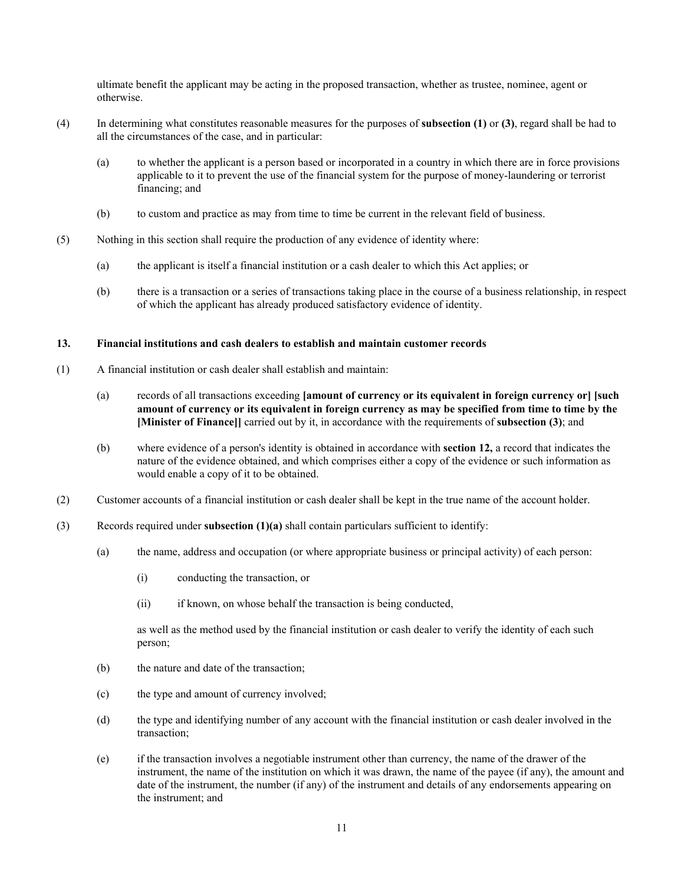<span id="page-10-0"></span>ultimate benefit the applicant may be acting in the proposed transaction, whether as trustee, nominee, agent or otherwise.

- (4) In determining what constitutes reasonable measures for the purposes of **subsection (1)** or **(3)**, regard shall be had to all the circumstances of the case, and in particular:
	- (a) to whether the applicant is a person based or incorporated in a country in which there are in force provisions applicable to it to prevent the use of the financial system for the purpose of money-laundering or terrorist financing; and
	- (b) to custom and practice as may from time to time be current in the relevant field of business.
- (5) Nothing in this section shall require the production of any evidence of identity where:
	- (a) the applicant is itself a financial institution or a cash dealer to which this Act applies; or
	- (b) there is a transaction or a series of transactions taking place in the course of a business relationship, in respect of which the applicant has already produced satisfactory evidence of identity.

### **13. Financial institutions and cash dealers to establish and maintain customer records**

- (1) A financial institution or cash dealer shall establish and maintain:
	- (a) records of all transactions exceeding **[amount of currency or its equivalent in foreign currency or] [such amount of currency or its equivalent in foreign currency as may be specified from time to time by the [Minister of Finance]]** carried out by it, in accordance with the requirements of **subsection (3)**; and
	- (b) where evidence of a person's identity is obtained in accordance with **section 12,** a record that indicates the nature of the evidence obtained, and which comprises either a copy of the evidence or such information as would enable a copy of it to be obtained.
- (2) Customer accounts of a financial institution or cash dealer shall be kept in the true name of the account holder.
- (3) Records required under **subsection (1)(a)** shall contain particulars sufficient to identify:
	- (a) the name, address and occupation (or where appropriate business or principal activity) of each person:
		- (i) conducting the transaction, or
		- (ii) if known, on whose behalf the transaction is being conducted,

as well as the method used by the financial institution or cash dealer to verify the identity of each such person;

- (b) the nature and date of the transaction;
- (c) the type and amount of currency involved;
- (d) the type and identifying number of any account with the financial institution or cash dealer involved in the transaction;
- (e) if the transaction involves a negotiable instrument other than currency, the name of the drawer of the instrument, the name of the institution on which it was drawn, the name of the payee (if any), the amount and date of the instrument, the number (if any) of the instrument and details of any endorsements appearing on the instrument; and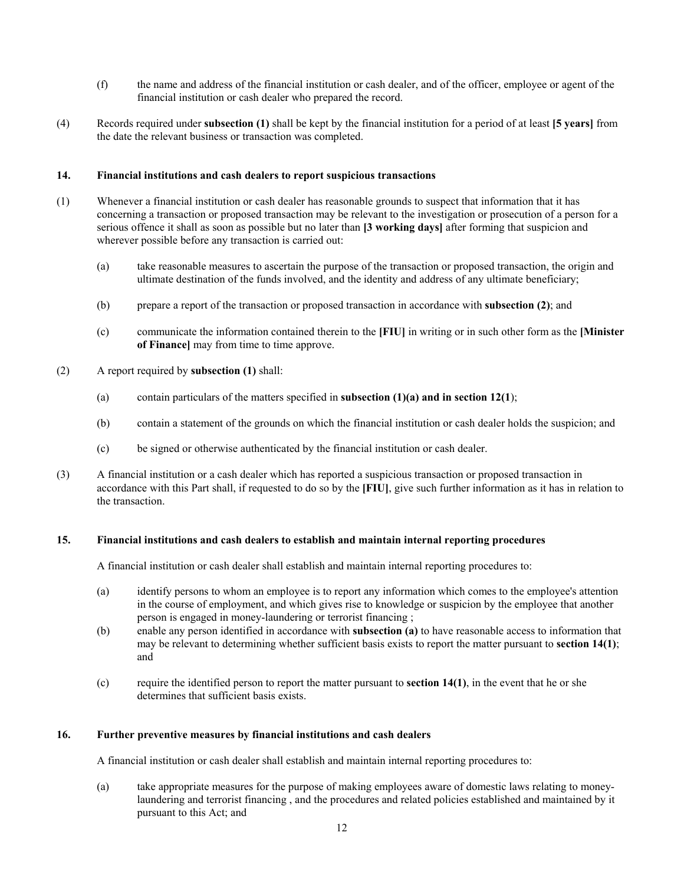- <span id="page-11-0"></span> (f) the name and address of the financial institution or cash dealer, and of the officer, employee or agent of the financial institution or cash dealer who prepared the record.
- (4) Records required under **subsection (1)** shall be kept by the financial institution for a period of at least **[5 years]** from the date the relevant business or transaction was completed.

# **14. Financial institutions and cash dealers to report suspicious transactions**

- (1) Whenever a financial institution or cash dealer has reasonable grounds to suspect that information that it has concerning a transaction or proposed transaction may be relevant to the investigation or prosecution of a person for a serious offence it shall as soon as possible but no later than **[3 working days]** after forming that suspicion and wherever possible before any transaction is carried out:
	- (a) take reasonable measures to ascertain the purpose of the transaction or proposed transaction, the origin and ultimate destination of the funds involved, and the identity and address of any ultimate beneficiary;
	- (b) prepare a report of the transaction or proposed transaction in accordance with **subsection (2)**; and
	- (c) communicate the information contained therein to the **[FIU]** in writing or in such other form as the **[Minister of Finance]** may from time to time approve.
- (2) A report required by **subsection (1)** shall:
	- (a) contain particulars of the matters specified in **subsection (1)(a) and in section 12(1**);
	- (b) contain a statement of the grounds on which the financial institution or cash dealer holds the suspicion; and
	- (c) be signed or otherwise authenticated by the financial institution or cash dealer.
- (3) A financial institution or a cash dealer which has reported a suspicious transaction or proposed transaction in accordance with this Part shall, if requested to do so by the **[FIU]**, give such further information as it has in relation to the transaction.

## **15. Financial institutions and cash dealers to establish and maintain internal reporting procedures**

A financial institution or cash dealer shall establish and maintain internal reporting procedures to:

- (a) identify persons to whom an employee is to report any information which comes to the employee's attention in the course of employment, and which gives rise to knowledge or suspicion by the employee that another person is engaged in money-laundering or terrorist financing ;
- (b) enable any person identified in accordance with **subsection (a)** to have reasonable access to information that may be relevant to determining whether sufficient basis exists to report the matter pursuant to **section 14(1)**; and
- (c) require the identified person to report the matter pursuant to **section 14(1)**, in the event that he or she determines that sufficient basis exists.

#### **16. Further preventive measures by financial institutions and cash dealers**

A financial institution or cash dealer shall establish and maintain internal reporting procedures to:

(a) take appropriate measures for the purpose of making employees aware of domestic laws relating to moneylaundering and terrorist financing , and the procedures and related policies established and maintained by it pursuant to this Act; and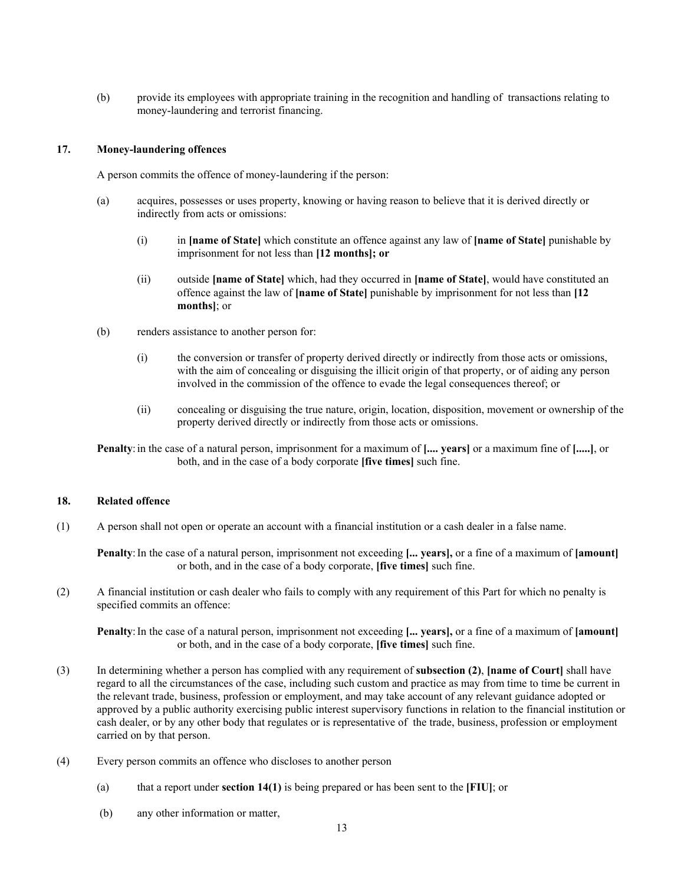<span id="page-12-0"></span>(b) provide its employees with appropriate training in the recognition and handling of transactions relating to money-laundering and terrorist financing.

# **17. Money-laundering offences**

A person commits the offence of money-laundering if the person:

- (a) acquires, possesses or uses property, knowing or having reason to believe that it is derived directly or indirectly from acts or omissions:
	- (i) in **[name of State]** which constitute an offence against any law of **[name of State]** punishable by imprisonment for not less than **[12 months]; or**
	- (ii) outside **[name of State]** which, had they occurred in **[name of State]**, would have constituted an offence against the law of **[name of State]** punishable by imprisonment for not less than **[12 months]**; or
- (b) renders assistance to another person for:
	- (i) the conversion or transfer of property derived directly or indirectly from those acts or omissions, with the aim of concealing or disguising the illicit origin of that property, or of aiding any person involved in the commission of the offence to evade the legal consequences thereof; or
	- (ii) concealing or disguising the true nature, origin, location, disposition, movement or ownership of the property derived directly or indirectly from those acts or omissions.

**Penalty**: in the case of a natural person, imprisonment for a maximum of **[.... years]** or a maximum fine of **[.....]**, or both, and in the case of a body corporate **[five times]** such fine.

## **18. Related offence**

(1) A person shall not open or operate an account with a financial institution or a cash dealer in a false name.

**Penalty**: In the case of a natural person, imprisonment not exceeding **[... years],** or a fine of a maximum of **[amount]** or both, and in the case of a body corporate, **[five times]** such fine.

(2) A financial institution or cash dealer who fails to comply with any requirement of this Part for which no penalty is specified commits an offence:

**Penalty**: In the case of a natural person, imprisonment not exceeding **[... years],** or a fine of a maximum of **[amount]** or both, and in the case of a body corporate, **[five times]** such fine.

- (3) In determining whether a person has complied with any requirement of **subsection (2)**, **[name of Court]** shall have regard to all the circumstances of the case, including such custom and practice as may from time to time be current in the relevant trade, business, profession or employment, and may take account of any relevant guidance adopted or approved by a public authority exercising public interest supervisory functions in relation to the financial institution or cash dealer, or by any other body that regulates or is representative of the trade, business, profession or employment carried on by that person.
- (4) Every person commits an offence who discloses to another person
	- (a) that a report under **section 14(1)** is being prepared or has been sent to the **[FIU]**; or
	- (b) any other information or matter,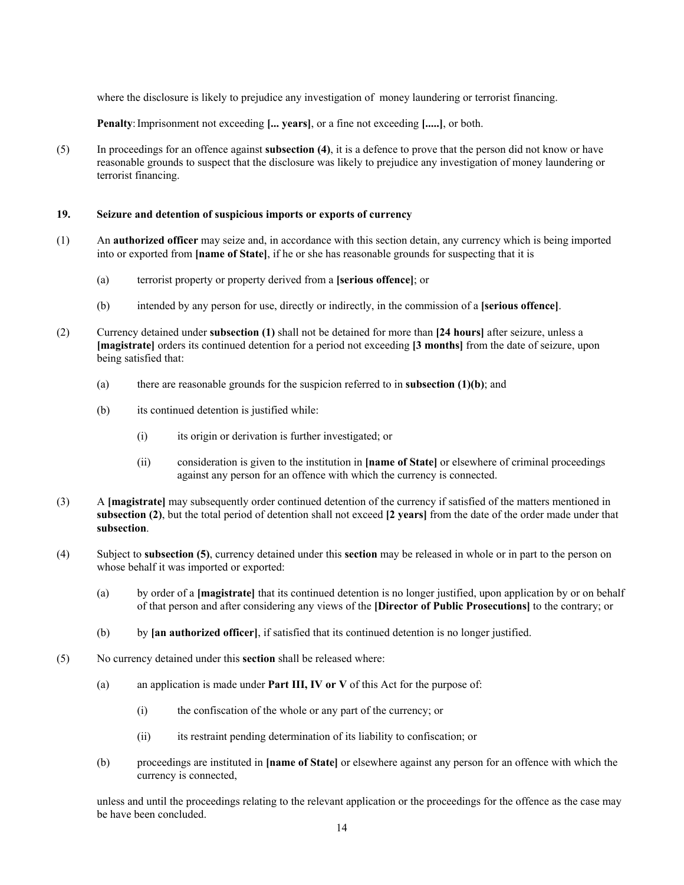<span id="page-13-0"></span>where the disclosure is likely to prejudice any investigation of money laundering or terrorist financing.

**Penalty**: Imprisonment not exceeding **[... years]**, or a fine not exceeding **[.....]**, or both.

(5) In proceedings for an offence against **subsection (4)**, it is a defence to prove that the person did not know or have reasonable grounds to suspect that the disclosure was likely to prejudice any investigation of money laundering or terrorist financing.

## **19. Seizure and detention of suspicious imports or exports of currency**

- (1) An **authorized officer** may seize and, in accordance with this section detain, any currency which is being imported into or exported from **[name of State]**, if he or she has reasonable grounds for suspecting that it is
	- (a) terrorist property or property derived from a **[serious offence]**; or
	- (b) intended by any person for use, directly or indirectly, in the commission of a **[serious offence]**.
- (2) Currency detained under **subsection (1)** shall not be detained for more than **[24 hours]** after seizure, unless a **[magistrate]** orders its continued detention for a period not exceeding **[3 months]** from the date of seizure, upon being satisfied that:
	- (a) there are reasonable grounds for the suspicion referred to in **subsection (1)(b)**; and
	- (b) its continued detention is justified while:
		- (i) its origin or derivation is further investigated; or
		- (ii) consideration is given to the institution in **[name of State]** or elsewhere of criminal proceedings against any person for an offence with which the currency is connected.
- (3) A **[magistrate]** may subsequently order continued detention of the currency if satisfied of the matters mentioned in **subsection (2)**, but the total period of detention shall not exceed **[2 years]** from the date of the order made under that **subsection**.
- (4) Subject to **subsection (5)**, currency detained under this **section** may be released in whole or in part to the person on whose behalf it was imported or exported:
	- (a) by order of a **[magistrate]** that its continued detention is no longer justified, upon application by or on behalf of that person and after considering any views of the **[Director of Public Prosecutions]** to the contrary; or
	- (b) by **[an authorized officer]**, if satisfied that its continued detention is no longer justified.
- (5) No currency detained under this **section** shall be released where:
	- (a) an application is made under **Part III, IV or V** of this Act for the purpose of:
		- (i) the confiscation of the whole or any part of the currency; or
		- (ii) its restraint pending determination of its liability to confiscation; or
	- (b) proceedings are instituted in **[name of State]** or elsewhere against any person for an offence with which the currency is connected,

unless and until the proceedings relating to the relevant application or the proceedings for the offence as the case may be have been concluded.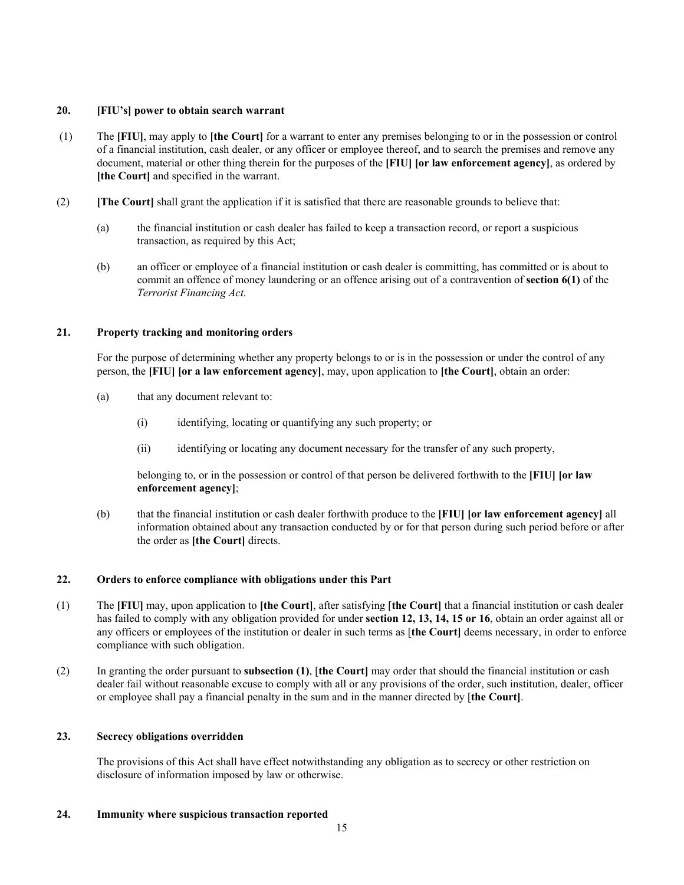# <span id="page-14-0"></span>**20. [FIU's] power to obtain search warrant**

- (1) The **[FIU]**, may apply to **[the Court]** for a warrant to enter any premises belonging to or in the possession or control of a financial institution, cash dealer, or any officer or employee thereof, and to search the premises and remove any document, material or other thing therein for the purposes of the **[FIU] [or law enforcement agency]**, as ordered by **[the Court]** and specified in the warrant.
- (2) **[The Court]** shall grant the application if it is satisfied that there are reasonable grounds to believe that:
	- (a) the financial institution or cash dealer has failed to keep a transaction record, or report a suspicious transaction, as required by this Act;
	- (b) an officer or employee of a financial institution or cash dealer is committing, has committed or is about to commit an offence of money laundering or an offence arising out of a contravention of **section 6(1)** of the *Terrorist Financing Act*.

# **21. Property tracking and monitoring orders**

For the purpose of determining whether any property belongs to or is in the possession or under the control of any person, the **[FIU] [or a law enforcement agency]**, may, upon application to **[the Court]**, obtain an order:

- (a) that any document relevant to:
	- (i) identifying, locating or quantifying any such property; or
	- (ii) identifying or locating any document necessary for the transfer of any such property,

belonging to, or in the possession or control of that person be delivered forthwith to the **[FIU] [or law enforcement agency]**;

(b) that the financial institution or cash dealer forthwith produce to the **[FIU] [or law enforcement agency]** all information obtained about any transaction conducted by or for that person during such period before or after the order as **[the Court]** directs.

# **22. Orders to enforce compliance with obligations under this Part**

- (1) The **[FIU]** may, upon application to **[the Court]**, after satisfying [**the Court]** that a financial institution or cash dealer has failed to comply with any obligation provided for under **section 12, 13, 14, 15 or 16**, obtain an order against all or any officers or employees of the institution or dealer in such terms as [**the Court]** deems necessary, in order to enforce compliance with such obligation.
- (2) In granting the order pursuant to **subsection (1)**, [**the Court]** may order that should the financial institution or cash dealer fail without reasonable excuse to comply with all or any provisions of the order, such institution, dealer, officer or employee shall pay a financial penalty in the sum and in the manner directed by [**the Court]**.

## **23. Secrecy obligations overridden**

The provisions of this Act shall have effect notwithstanding any obligation as to secrecy or other restriction on disclosure of information imposed by law or otherwise.

**24. Immunity where suspicious transaction reported**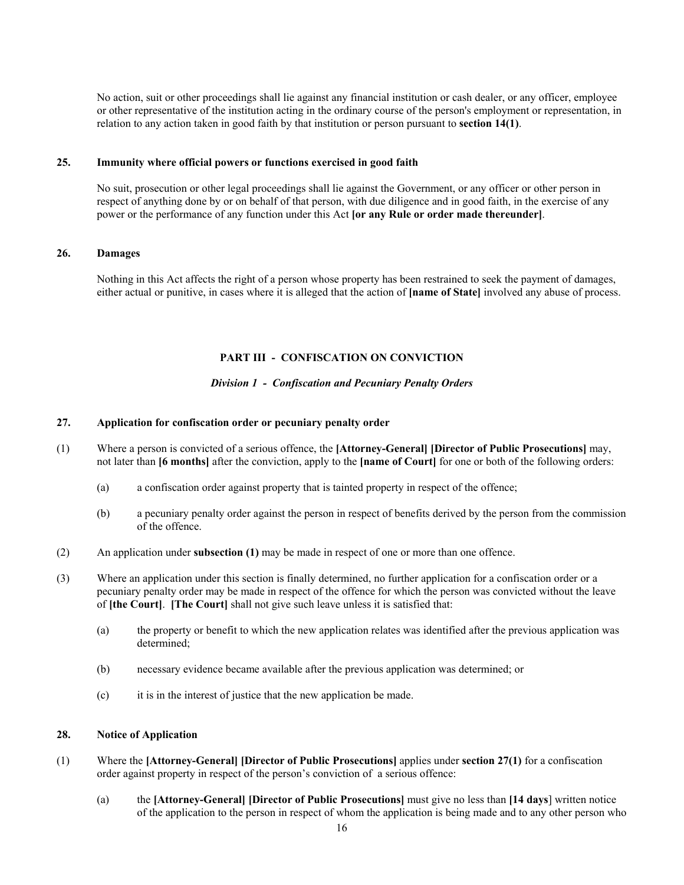<span id="page-15-0"></span>No action, suit or other proceedings shall lie against any financial institution or cash dealer, or any officer, employee or other representative of the institution acting in the ordinary course of the person's employment or representation, in relation to any action taken in good faith by that institution or person pursuant to **section 14(1)**.

# **25. Immunity where official powers or functions exercised in good faith**

No suit, prosecution or other legal proceedings shall lie against the Government, or any officer or other person in respect of anything done by or on behalf of that person, with due diligence and in good faith, in the exercise of any power or the performance of any function under this Act **[or any Rule or order made thereunder]**.

# **26. Damages**

Nothing in this Act affects the right of a person whose property has been restrained to seek the payment of damages, either actual or punitive, in cases where it is alleged that the action of **[name of State]** involved any abuse of process.

# **PART III - CONFISCATION ON CONVICTION**

# *Division 1 - Confiscation and Pecuniary Penalty Orders*

# **27. Application for confiscation order or pecuniary penalty order**

- (1) Where a person is convicted of a serious offence, the **[Attorney-General] [Director of Public Prosecutions]** may, not later than **[6 months]** after the conviction, apply to the **[name of Court]** for one or both of the following orders:
	- (a) a confiscation order against property that is tainted property in respect of the offence;
	- (b) a pecuniary penalty order against the person in respect of benefits derived by the person from the commission of the offence.
- (2) An application under **subsection (1)** may be made in respect of one or more than one offence.
- (3) Where an application under this section is finally determined, no further application for a confiscation order or a pecuniary penalty order may be made in respect of the offence for which the person was convicted without the leave of **[the Court]**. **[The Court]** shall not give such leave unless it is satisfied that:
	- (a) the property or benefit to which the new application relates was identified after the previous application was determined;
	- (b) necessary evidence became available after the previous application was determined; or
	- (c) it is in the interest of justice that the new application be made.

#### **28. Notice of Application**

- (1) Where the **[Attorney-General] [Director of Public Prosecutions]** applies under **section 27(1)** for a confiscation order against property in respect of the person's conviction of a serious offence:
	- (a) the **[Attorney-General] [Director of Public Prosecutions]** must give no less than **[14 days**] written notice of the application to the person in respect of whom the application is being made and to any other person who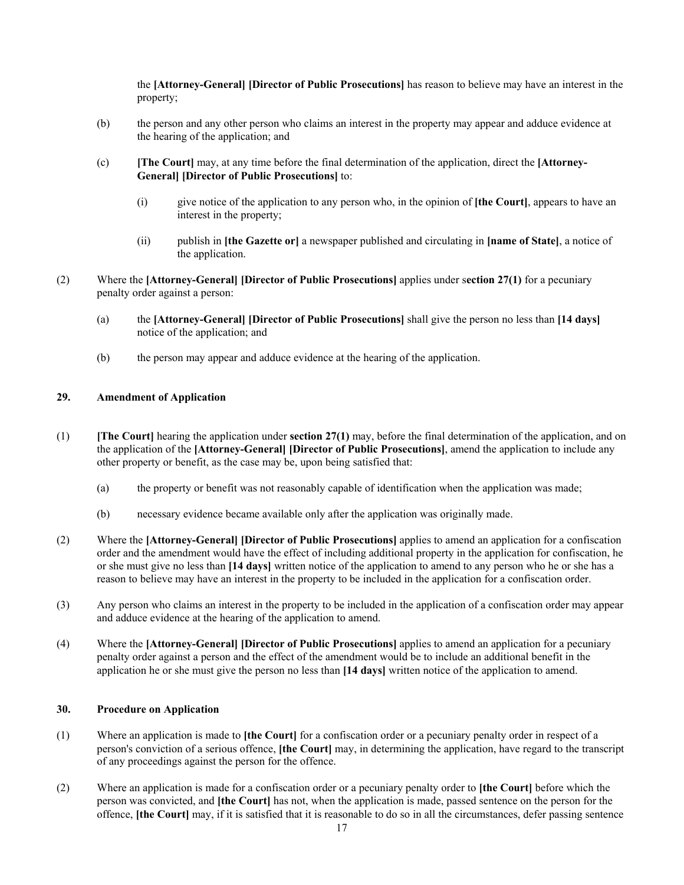the **[Attorney-General] [Director of Public Prosecutions]** has reason to believe may have an interest in the property;

- <span id="page-16-0"></span>(b) the person and any other person who claims an interest in the property may appear and adduce evidence at the hearing of the application; and
- (c) **[The Court]** may, at any time before the final determination of the application, direct the **[Attorney-General] [Director of Public Prosecutions]** to:
	- (i) give notice of the application to any person who, in the opinion of **[the Court]**, appears to have an interest in the property;
	- (ii) publish in **[the Gazette or]** a newspaper published and circulating in **[name of State]**, a notice of the application.
- (2) Where the **[Attorney-General] [Director of Public Prosecutions]** applies under s**ection 27(1)** for a pecuniary penalty order against a person:
	- (a) the **[Attorney-General] [Director of Public Prosecutions]** shall give the person no less than **[14 days]** notice of the application; and
	- (b) the person may appear and adduce evidence at the hearing of the application.

# **29. Amendment of Application**

- (1) **[The Court]** hearing the application under **section 27(1)** may, before the final determination of the application, and on the application of the **[Attorney-General] [Director of Public Prosecutions]**, amend the application to include any other property or benefit, as the case may be, upon being satisfied that:
	- (a) the property or benefit was not reasonably capable of identification when the application was made;
	- (b) necessary evidence became available only after the application was originally made.
- (2) Where the **[Attorney-General] [Director of Public Prosecutions]** applies to amend an application for a confiscation order and the amendment would have the effect of including additional property in the application for confiscation, he or she must give no less than **[14 days]** written notice of the application to amend to any person who he or she has a reason to believe may have an interest in the property to be included in the application for a confiscation order.
- (3) Any person who claims an interest in the property to be included in the application of a confiscation order may appear and adduce evidence at the hearing of the application to amend.
- (4) Where the **[Attorney-General] [Director of Public Prosecutions]** applies to amend an application for a pecuniary penalty order against a person and the effect of the amendment would be to include an additional benefit in the application he or she must give the person no less than **[14 days]** written notice of the application to amend.

# **30. Procedure on Application**

- (1) Where an application is made to **[the Court]** for a confiscation order or a pecuniary penalty order in respect of a person's conviction of a serious offence, **[the Court]** may, in determining the application, have regard to the transcript of any proceedings against the person for the offence.
- (2) Where an application is made for a confiscation order or a pecuniary penalty order to **[the Court]** before which the person was convicted, and **[the Court]** has not, when the application is made, passed sentence on the person for the offence, **[the Court]** may, if it is satisfied that it is reasonable to do so in all the circumstances, defer passing sentence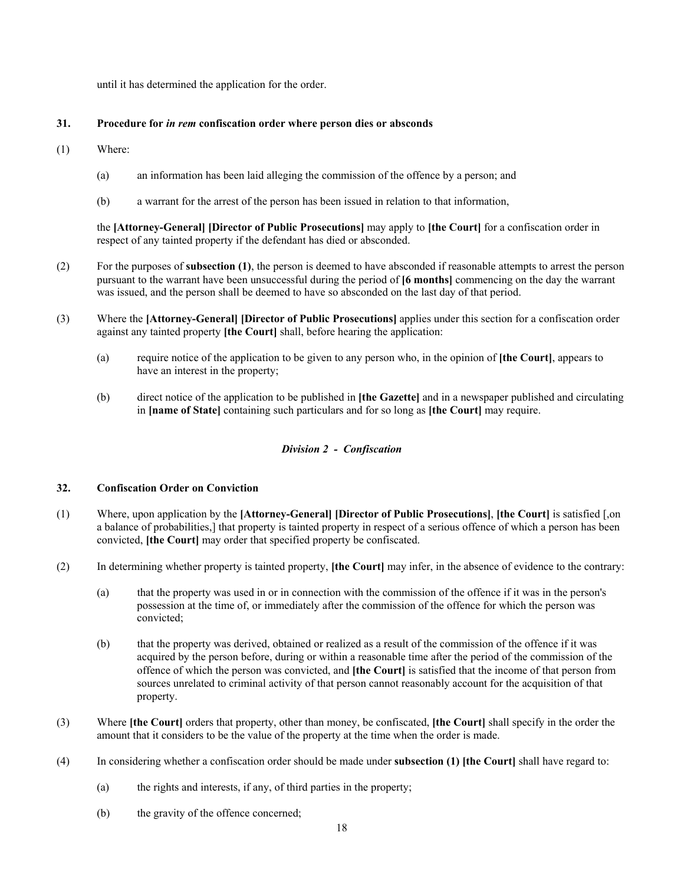<span id="page-17-0"></span>until it has determined the application for the order.

# **31. Procedure for** *in rem* **confiscation order where person dies or absconds**

- (1) Where:
	- (a) an information has been laid alleging the commission of the offence by a person; and
	- (b) a warrant for the arrest of the person has been issued in relation to that information,

the **[Attorney-General] [Director of Public Prosecutions]** may apply to **[the Court]** for a confiscation order in respect of any tainted property if the defendant has died or absconded.

- (2) For the purposes of **subsection (1)**, the person is deemed to have absconded if reasonable attempts to arrest the person pursuant to the warrant have been unsuccessful during the period of **[6 months]** commencing on the day the warrant was issued, and the person shall be deemed to have so absconded on the last day of that period.
- (3) Where the **[Attorney-General] [Director of Public Prosecutions]** applies under this section for a confiscation order against any tainted property **[the Court]** shall, before hearing the application:
	- (a) require notice of the application to be given to any person who, in the opinion of **[the Court]**, appears to have an interest in the property;
	- (b) direct notice of the application to be published in **[the Gazette]** and in a newspaper published and circulating in **[name of State]** containing such particulars and for so long as **[the Court]** may require.

# *Division 2 - Confiscation*

# **32. Confiscation Order on Conviction**

- (1) Where, upon application by the **[Attorney-General] [Director of Public Prosecutions]**, **[the Court]** is satisfied [,on a balance of probabilities,] that property is tainted property in respect of a serious offence of which a person has been convicted, **[the Court]** may order that specified property be confiscated.
- (2) In determining whether property is tainted property, **[the Court]** may infer, in the absence of evidence to the contrary:
	- (a) that the property was used in or in connection with the commission of the offence if it was in the person's possession at the time of, or immediately after the commission of the offence for which the person was convicted;
	- (b) that the property was derived, obtained or realized as a result of the commission of the offence if it was acquired by the person before, during or within a reasonable time after the period of the commission of the offence of which the person was convicted, and **[the Court]** is satisfied that the income of that person from sources unrelated to criminal activity of that person cannot reasonably account for the acquisition of that property.
- (3) Where **[the Court]** orders that property, other than money, be confiscated, **[the Court]** shall specify in the order the amount that it considers to be the value of the property at the time when the order is made.
- (4) In considering whether a confiscation order should be made under **subsection (1) [the Court]** shall have regard to:
	- (a) the rights and interests, if any, of third parties in the property;
	- (b) the gravity of the offence concerned;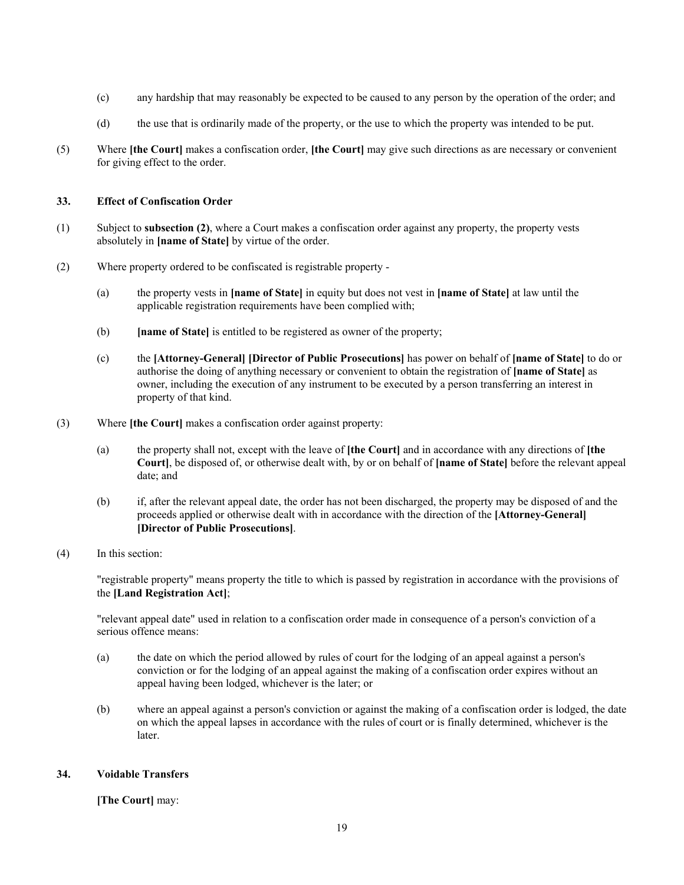- <span id="page-18-0"></span>(c) any hardship that may reasonably be expected to be caused to any person by the operation of the order; and
- (d) the use that is ordinarily made of the property, or the use to which the property was intended to be put.
- (5) Where **[the Court]** makes a confiscation order, **[the Court]** may give such directions as are necessary or convenient for giving effect to the order.

## **33. Effect of Confiscation Order**

- (1) Subject to **subsection (2)**, where a Court makes a confiscation order against any property, the property vests absolutely in **[name of State]** by virtue of the order.
- (2) Where property ordered to be confiscated is registrable property
	- (a) the property vests in **[name of State]** in equity but does not vest in **[name of State]** at law until the applicable registration requirements have been complied with;
	- (b) **[name of State]** is entitled to be registered as owner of the property;
	- (c) the **[Attorney-General] [Director of Public Prosecutions]** has power on behalf of **[name of State]** to do or authorise the doing of anything necessary or convenient to obtain the registration of **[name of State]** as owner, including the execution of any instrument to be executed by a person transferring an interest in property of that kind.
- (3) Where **[the Court]** makes a confiscation order against property:
	- (a) the property shall not, except with the leave of **[the Court]** and in accordance with any directions of **[the Court]**, be disposed of, or otherwise dealt with, by or on behalf of **[name of State]** before the relevant appeal date; and
	- (b) if, after the relevant appeal date, the order has not been discharged, the property may be disposed of and the proceeds applied or otherwise dealt with in accordance with the direction of the **[Attorney-General] [Director of Public Prosecutions]**.
- (4) In this section:

"registrable property" means property the title to which is passed by registration in accordance with the provisions of the **[Land Registration Act]**;

"relevant appeal date" used in relation to a confiscation order made in consequence of a person's conviction of a serious offence means:

- (a) the date on which the period allowed by rules of court for the lodging of an appeal against a person's conviction or for the lodging of an appeal against the making of a confiscation order expires without an appeal having been lodged, whichever is the later; or
- (b) where an appeal against a person's conviction or against the making of a confiscation order is lodged, the date on which the appeal lapses in accordance with the rules of court or is finally determined, whichever is the later.

# **34. Voidable Transfers**

**[The Court]** may: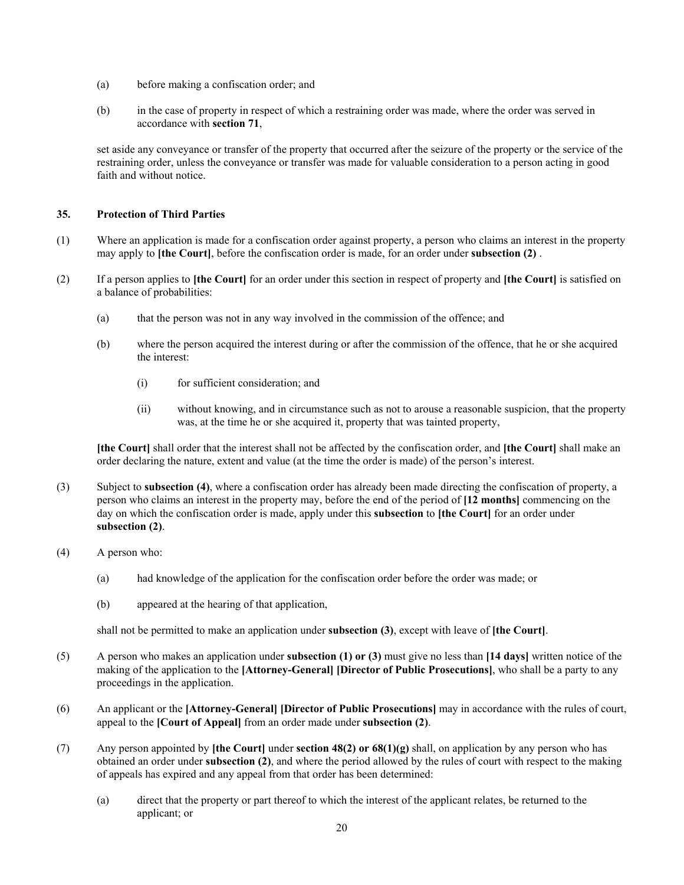- <span id="page-19-0"></span>(a) before making a confiscation order; and
- (b) in the case of property in respect of which a restraining order was made, where the order was served in accordance with **section 71**,

set aside any conveyance or transfer of the property that occurred after the seizure of the property or the service of the restraining order, unless the conveyance or transfer was made for valuable consideration to a person acting in good faith and without notice.

# **35. Protection of Third Parties**

- (1) Where an application is made for a confiscation order against property, a person who claims an interest in the property may apply to **[the Court]**, before the confiscation order is made, for an order under **subsection (2)** .
- (2) If a person applies to **[the Court]** for an order under this section in respect of property and **[the Court]** is satisfied on a balance of probabilities:
	- (a) that the person was not in any way involved in the commission of the offence; and
	- (b) where the person acquired the interest during or after the commission of the offence, that he or she acquired the interest:
		- (i) for sufficient consideration; and
		- (ii) without knowing, and in circumstance such as not to arouse a reasonable suspicion, that the property was, at the time he or she acquired it, property that was tainted property,

**[the Court]** shall order that the interest shall not be affected by the confiscation order, and **[the Court]** shall make an order declaring the nature, extent and value (at the time the order is made) of the person's interest.

- (3) Subject to **subsection (4)**, where a confiscation order has already been made directing the confiscation of property, a person who claims an interest in the property may, before the end of the period of **[12 months]** commencing on the day on which the confiscation order is made, apply under this **subsection** to **[the Court]** for an order under **subsection (2)**.
- (4) A person who:
	- (a) had knowledge of the application for the confiscation order before the order was made; or
	- (b) appeared at the hearing of that application,

shall not be permitted to make an application under **subsection (3)**, except with leave of **[the Court]**.

- (5) A person who makes an application under **subsection (1) or (3)** must give no less than **[14 days]** written notice of the making of the application to the **[Attorney-General] [Director of Public Prosecutions]**, who shall be a party to any proceedings in the application.
- (6) An applicant or the **[Attorney-General] [Director of Public Prosecutions]** may in accordance with the rules of court, appeal to the **[Court of Appeal]** from an order made under **subsection (2)**.
- (7) Any person appointed by **[the Court]** under **section 48(2) or 68(1)(g)** shall, on application by any person who has obtained an order under **subsection (2)**, and where the period allowed by the rules of court with respect to the making of appeals has expired and any appeal from that order has been determined:
	- (a) direct that the property or part thereof to which the interest of the applicant relates, be returned to the applicant; or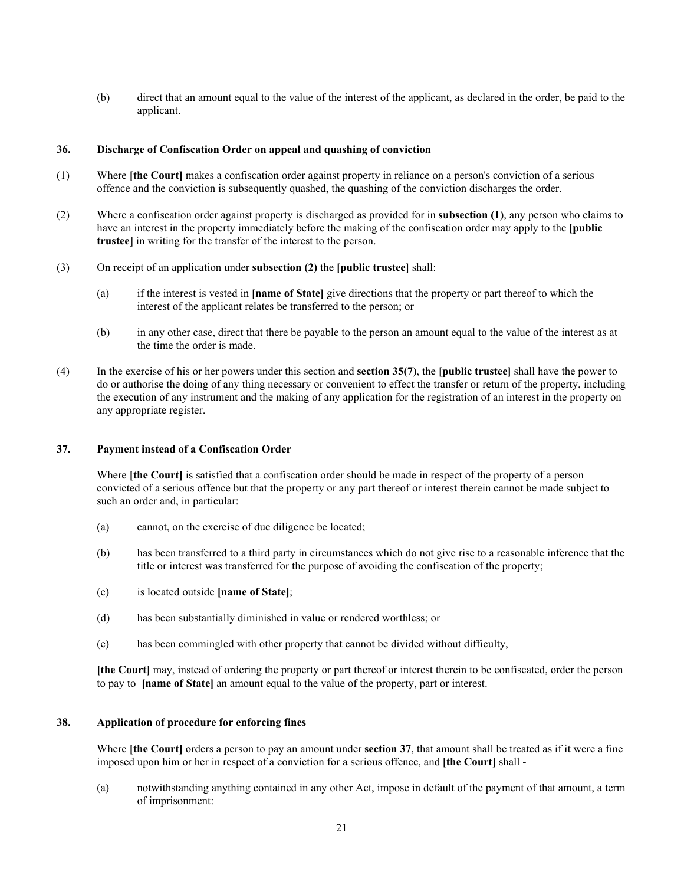<span id="page-20-0"></span>(b) direct that an amount equal to the value of the interest of the applicant, as declared in the order, be paid to the applicant.

#### **36. Discharge of Confiscation Order on appeal and quashing of conviction**

- (1) Where **[the Court]** makes a confiscation order against property in reliance on a person's conviction of a serious offence and the conviction is subsequently quashed, the quashing of the conviction discharges the order.
- (2) Where a confiscation order against property is discharged as provided for in **subsection (1)**, any person who claims to have an interest in the property immediately before the making of the confiscation order may apply to the **[public trustee**] in writing for the transfer of the interest to the person.
- (3) On receipt of an application under **subsection (2)** the **[public trustee]** shall:
	- (a) if the interest is vested in **[name of State]** give directions that the property or part thereof to which the interest of the applicant relates be transferred to the person; or
	- (b) in any other case, direct that there be payable to the person an amount equal to the value of the interest as at the time the order is made.
- (4) In the exercise of his or her powers under this section and **section 35(7)**, the **[public trustee]** shall have the power to do or authorise the doing of any thing necessary or convenient to effect the transfer or return of the property, including the execution of any instrument and the making of any application for the registration of an interest in the property on any appropriate register.

#### **37. Payment instead of a Confiscation Order**

Where **[the Court]** is satisfied that a confiscation order should be made in respect of the property of a person convicted of a serious offence but that the property or any part thereof or interest therein cannot be made subject to such an order and, in particular:

- (a) cannot, on the exercise of due diligence be located;
- (b) has been transferred to a third party in circumstances which do not give rise to a reasonable inference that the title or interest was transferred for the purpose of avoiding the confiscation of the property;
- (c) is located outside **[name of State]**;
- (d) has been substantially diminished in value or rendered worthless; or
- (e) has been commingled with other property that cannot be divided without difficulty,

**[the Court]** may, instead of ordering the property or part thereof or interest therein to be confiscated, order the person to pay to **[name of State]** an amount equal to the value of the property, part or interest.

#### **38. Application of procedure for enforcing fines**

Where **[the Court]** orders a person to pay an amount under **section 37**, that amount shall be treated as if it were a fine imposed upon him or her in respect of a conviction for a serious offence, and **[the Court]** shall -

(a) notwithstanding anything contained in any other Act, impose in default of the payment of that amount, a term of imprisonment: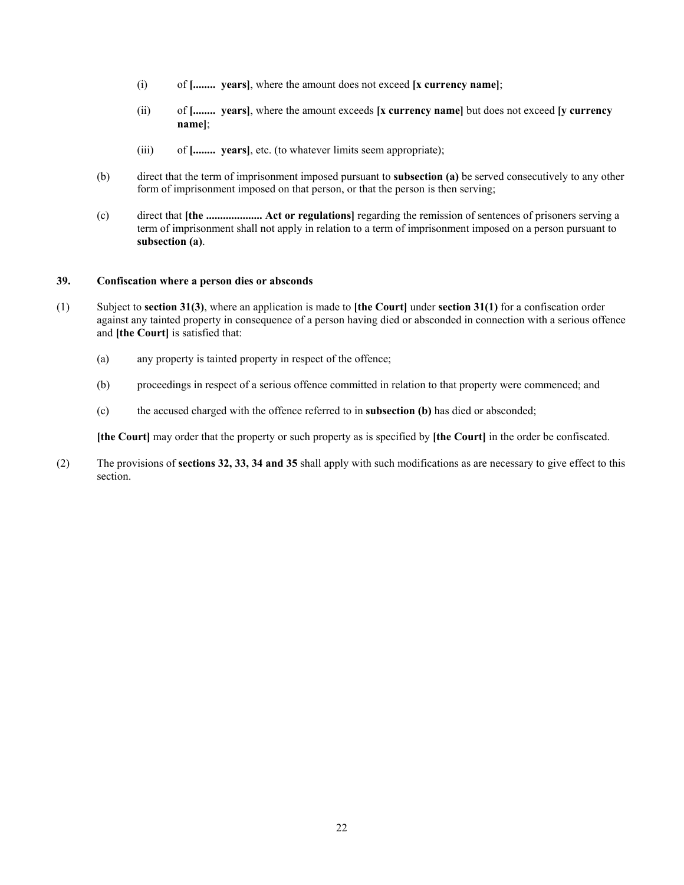- <span id="page-21-0"></span>(i) of **[........ years]**, where the amount does not exceed **[x currency name]**;
- (ii) of **[........ years]**, where the amount exceeds **[x currency name]** but does not exceed **[y currency name]**;
- (iii) of **[........ years]**, etc. (to whatever limits seem appropriate);
- (b) direct that the term of imprisonment imposed pursuant to **subsection (a)** be served consecutively to any other form of imprisonment imposed on that person, or that the person is then serving;
- (c) direct that **[the .................... Act or regulations]** regarding the remission of sentences of prisoners serving a term of imprisonment shall not apply in relation to a term of imprisonment imposed on a person pursuant to **subsection (a)**.

#### **39. Confiscation where a person dies or absconds**

- (1) Subject to **section 31(3)**, where an application is made to **[the Court]** under **section 31(1)** for a confiscation order against any tainted property in consequence of a person having died or absconded in connection with a serious offence and **[the Court]** is satisfied that:
	- (a) any property is tainted property in respect of the offence;
	- (b) proceedings in respect of a serious offence committed in relation to that property were commenced; and
	- (c) the accused charged with the offence referred to in **subsection (b)** has died or absconded;

**[the Court]** may order that the property or such property as is specified by **[the Court]** in the order be confiscated.

(2) The provisions of **sections 32, 33, 34 and 35** shall apply with such modifications as are necessary to give effect to this section.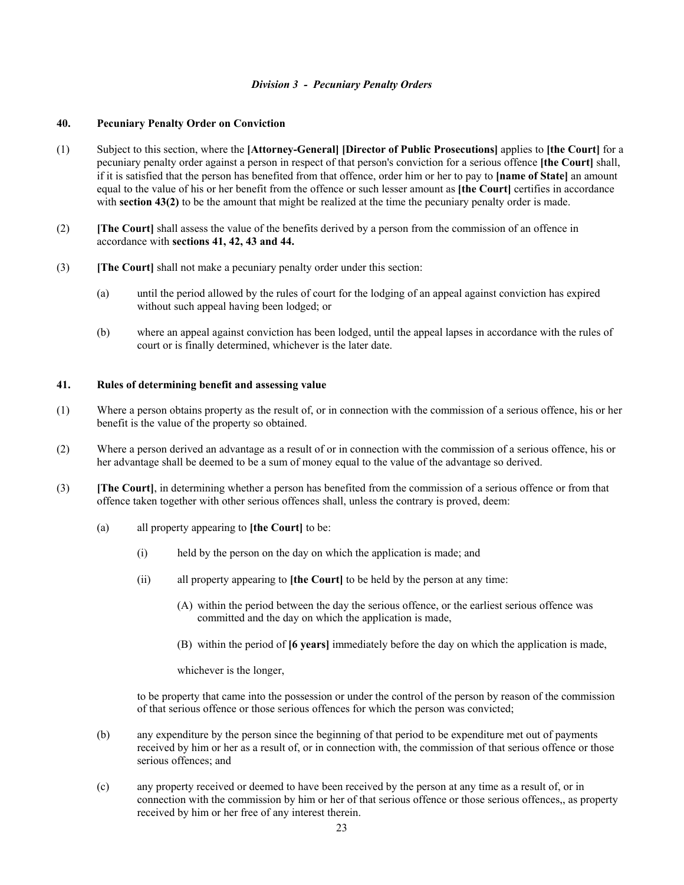# *Division 3 - Pecuniary Penalty Orders*

## <span id="page-22-0"></span>**40. Pecuniary Penalty Order on Conviction**

- (1) Subject to this section, where the **[Attorney-General] [Director of Public Prosecutions]** applies to **[the Court]** for a pecuniary penalty order against a person in respect of that person's conviction for a serious offence **[the Court]** shall, if it is satisfied that the person has benefited from that offence, order him or her to pay to **[name of State]** an amount equal to the value of his or her benefit from the offence or such lesser amount as **[the Court]** certifies in accordance with **section 43(2)** to be the amount that might be realized at the time the pecuniary penalty order is made.
- (2) **[The Court]** shall assess the value of the benefits derived by a person from the commission of an offence in accordance with **sections 41, 42, 43 and 44.**
- (3) **[The Court]** shall not make a pecuniary penalty order under this section:
	- (a) until the period allowed by the rules of court for the lodging of an appeal against conviction has expired without such appeal having been lodged; or
	- (b) where an appeal against conviction has been lodged, until the appeal lapses in accordance with the rules of court or is finally determined, whichever is the later date.

# **41. Rules of determining benefit and assessing value**

- (1) Where a person obtains property as the result of, or in connection with the commission of a serious offence, his or her benefit is the value of the property so obtained.
- (2) Where a person derived an advantage as a result of or in connection with the commission of a serious offence, his or her advantage shall be deemed to be a sum of money equal to the value of the advantage so derived.
- (3) **[The Court]**, in determining whether a person has benefited from the commission of a serious offence or from that offence taken together with other serious offences shall, unless the contrary is proved, deem:
	- (a) all property appearing to **[the Court]** to be:
		- (i) held by the person on the day on which the application is made; and
		- (ii) all property appearing to **[the Court]** to be held by the person at any time:
			- (A) within the period between the day the serious offence, or the earliest serious offence was committed and the day on which the application is made,
			- (B) within the period of **[6 years]** immediately before the day on which the application is made,

whichever is the longer,

to be property that came into the possession or under the control of the person by reason of the commission of that serious offence or those serious offences for which the person was convicted;

- (b) any expenditure by the person since the beginning of that period to be expenditure met out of payments received by him or her as a result of, or in connection with, the commission of that serious offence or those serious offences; and
- (c) any property received or deemed to have been received by the person at any time as a result of, or in connection with the commission by him or her of that serious offence or those serious offences,, as property received by him or her free of any interest therein.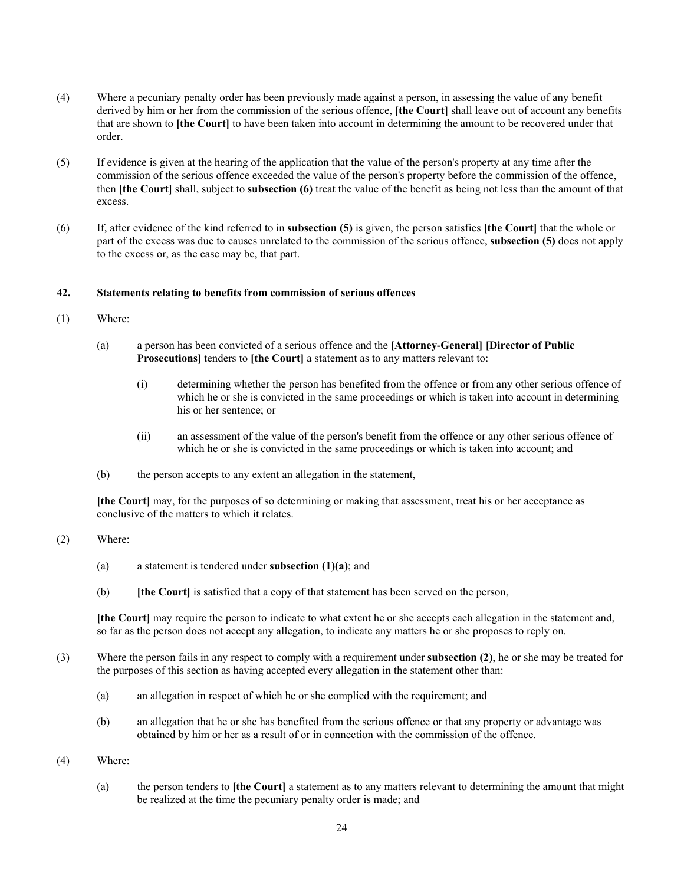- <span id="page-23-0"></span>(4) Where a pecuniary penalty order has been previously made against a person, in assessing the value of any benefit derived by him or her from the commission of the serious offence, **[the Court]** shall leave out of account any benefits that are shown to **[the Court]** to have been taken into account in determining the amount to be recovered under that order.
- (5) If evidence is given at the hearing of the application that the value of the person's property at any time after the commission of the serious offence exceeded the value of the person's property before the commission of the offence, then **[the Court]** shall, subject to **subsection (6)** treat the value of the benefit as being not less than the amount of that excess.
- (6) If, after evidence of the kind referred to in **subsection (5)** is given, the person satisfies **[the Court]** that the whole or part of the excess was due to causes unrelated to the commission of the serious offence, **subsection (5)** does not apply to the excess or, as the case may be, that part.

# **42. Statements relating to benefits from commission of serious offences**

- (1) Where:
	- (a) a person has been convicted of a serious offence and the **[Attorney-General] [Director of Public Prosecutions]** tenders to **[the Court]** a statement as to any matters relevant to:
		- (i) determining whether the person has benefited from the offence or from any other serious offence of which he or she is convicted in the same proceedings or which is taken into account in determining his or her sentence; or
		- (ii) an assessment of the value of the person's benefit from the offence or any other serious offence of which he or she is convicted in the same proceedings or which is taken into account; and
	- (b) the person accepts to any extent an allegation in the statement,

**[the Court]** may, for the purposes of so determining or making that assessment, treat his or her acceptance as conclusive of the matters to which it relates.

- (2) Where:
	- (a) a statement is tendered under **subsection (1)(a)**; and
	- (b) **[the Court]** is satisfied that a copy of that statement has been served on the person,

**[the Court]** may require the person to indicate to what extent he or she accepts each allegation in the statement and, so far as the person does not accept any allegation, to indicate any matters he or she proposes to reply on.

- (3) Where the person fails in any respect to comply with a requirement under **subsection (2)**, he or she may be treated for the purposes of this section as having accepted every allegation in the statement other than:
	- (a) an allegation in respect of which he or she complied with the requirement; and
	- (b) an allegation that he or she has benefited from the serious offence or that any property or advantage was obtained by him or her as a result of or in connection with the commission of the offence.
- (4) Where:
	- (a) the person tenders to **[the Court]** a statement as to any matters relevant to determining the amount that might be realized at the time the pecuniary penalty order is made; and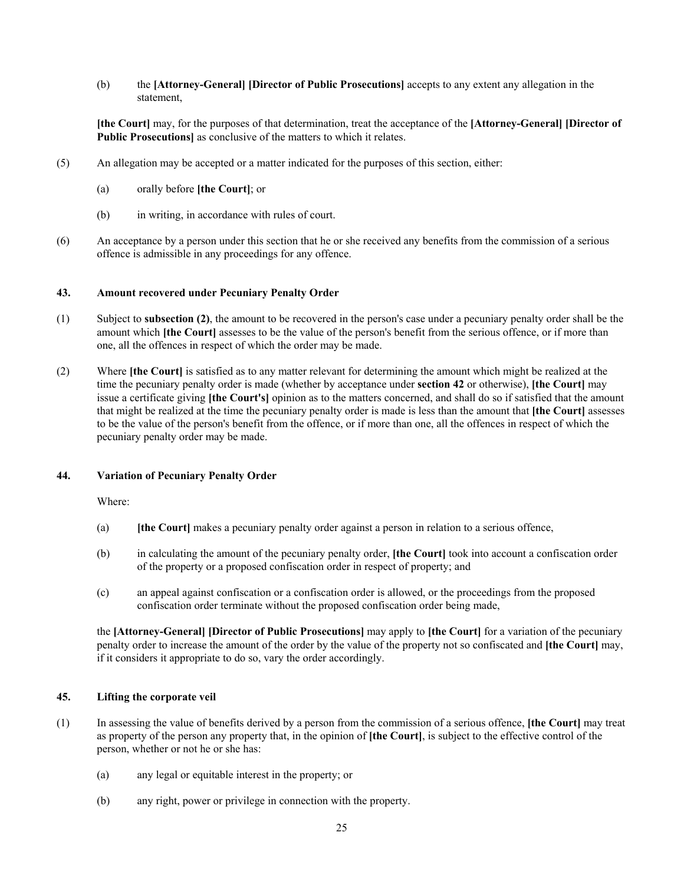<span id="page-24-0"></span>(b) the **[Attorney-General] [Director of Public Prosecutions]** accepts to any extent any allegation in the statement,

**[the Court]** may, for the purposes of that determination, treat the acceptance of the **[Attorney-General] [Director of Public Prosecutions]** as conclusive of the matters to which it relates.

- (5) An allegation may be accepted or a matter indicated for the purposes of this section, either:
	- (a) orally before **[the Court]**; or
	- (b) in writing, in accordance with rules of court.
- (6) An acceptance by a person under this section that he or she received any benefits from the commission of a serious offence is admissible in any proceedings for any offence.

#### **43. Amount recovered under Pecuniary Penalty Order**

- (1) Subject to **subsection (2)**, the amount to be recovered in the person's case under a pecuniary penalty order shall be the amount which **[the Court]** assesses to be the value of the person's benefit from the serious offence, or if more than one, all the offences in respect of which the order may be made.
- (2) Where **[the Court]** is satisfied as to any matter relevant for determining the amount which might be realized at the time the pecuniary penalty order is made (whether by acceptance under **section 42** or otherwise), **[the Court]** may issue a certificate giving **[the Court's]** opinion as to the matters concerned, and shall do so if satisfied that the amount that might be realized at the time the pecuniary penalty order is made is less than the amount that **[the Court]** assesses to be the value of the person's benefit from the offence, or if more than one, all the offences in respect of which the pecuniary penalty order may be made.

#### **44. Variation of Pecuniary Penalty Order**

Where:

- (a) **[the Court]** makes a pecuniary penalty order against a person in relation to a serious offence,
- (b) in calculating the amount of the pecuniary penalty order, **[the Court]** took into account a confiscation order of the property or a proposed confiscation order in respect of property; and
- (c) an appeal against confiscation or a confiscation order is allowed, or the proceedings from the proposed confiscation order terminate without the proposed confiscation order being made,

the **[Attorney-General] [Director of Public Prosecutions]** may apply to **[the Court]** for a variation of the pecuniary penalty order to increase the amount of the order by the value of the property not so confiscated and **[the Court]** may, if it considers it appropriate to do so, vary the order accordingly.

#### **45. Lifting the corporate veil**

- (1) In assessing the value of benefits derived by a person from the commission of a serious offence, **[the Court]** may treat as property of the person any property that, in the opinion of **[the Court]**, is subject to the effective control of the person, whether or not he or she has:
	- (a) any legal or equitable interest in the property; or
	- (b) any right, power or privilege in connection with the property.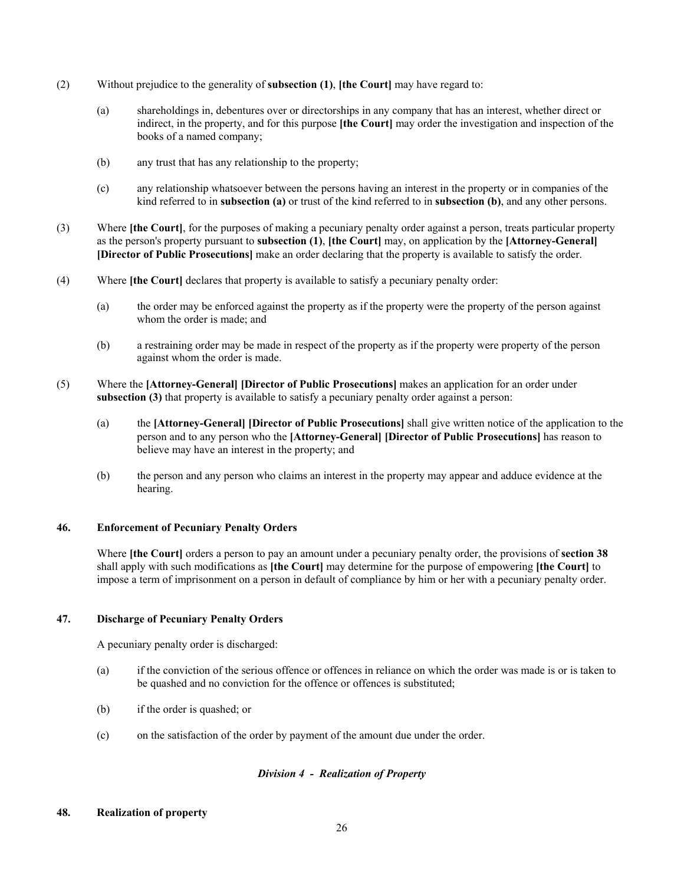- <span id="page-25-0"></span>(2) Without prejudice to the generality of **subsection (1)**, **[the Court]** may have regard to:
	- (a) shareholdings in, debentures over or directorships in any company that has an interest, whether direct or indirect, in the property, and for this purpose **[the Court]** may order the investigation and inspection of the books of a named company;
	- (b) any trust that has any relationship to the property;
	- (c) any relationship whatsoever between the persons having an interest in the property or in companies of the kind referred to in **subsection (a)** or trust of the kind referred to in **subsection (b)**, and any other persons.
- (3) Where **[the Court]**, for the purposes of making a pecuniary penalty order against a person, treats particular property as the person's property pursuant to **subsection (1)**, **[the Court]** may, on application by the **[Attorney-General] [Director of Public Prosecutions]** make an order declaring that the property is available to satisfy the order.
- (4) Where **[the Court]** declares that property is available to satisfy a pecuniary penalty order:
	- (a) the order may be enforced against the property as if the property were the property of the person against whom the order is made; and
	- (b) a restraining order may be made in respect of the property as if the property were property of the person against whom the order is made.
- (5) Where the **[Attorney-General] [Director of Public Prosecutions]** makes an application for an order under subsection (3) that property is available to satisfy a pecuniary penalty order against a person:
	- (a) the **[Attorney-General] [Director of Public Prosecutions]** shall give written notice of the application to the person and to any person who the **[Attorney-General] [Director of Public Prosecutions]** has reason to believe may have an interest in the property; and
	- (b) the person and any person who claims an interest in the property may appear and adduce evidence at the hearing.

# **46. Enforcement of Pecuniary Penalty Orders**

Where **[the Court]** orders a person to pay an amount under a pecuniary penalty order, the provisions of **section 38** shall apply with such modifications as **[the Court]** may determine for the purpose of empowering **[the Court]** to impose a term of imprisonment on a person in default of compliance by him or her with a pecuniary penalty order.

# **47. Discharge of Pecuniary Penalty Orders**

A pecuniary penalty order is discharged:

- (a) if the conviction of the serious offence or offences in reliance on which the order was made is or is taken to be quashed and no conviction for the offence or offences is substituted;
- (b) if the order is quashed; or
- (c) on the satisfaction of the order by payment of the amount due under the order.

# *Division 4 - Realization of Property*

# **48. Realization of property**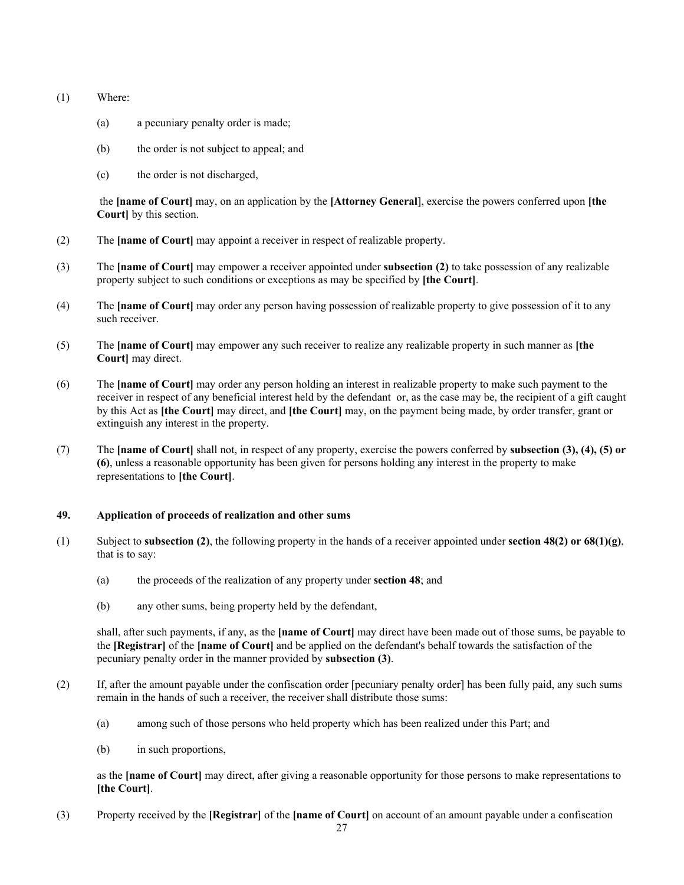- <span id="page-26-0"></span>(1) Where:
	- (a) a pecuniary penalty order is made;
	- (b) the order is not subject to appeal; and
	- (c) the order is not discharged,

 the **[name of Court]** may, on an application by the **[Attorney General**], exercise the powers conferred upon **[the Court]** by this section.

- (2) The **[name of Court]** may appoint a receiver in respect of realizable property.
- (3) The **[name of Court]** may empower a receiver appointed under **subsection (2)** to take possession of any realizable property subject to such conditions or exceptions as may be specified by **[the Court]**.
- (4) The **[name of Court]** may order any person having possession of realizable property to give possession of it to any such receiver.
- (5) The **[name of Court]** may empower any such receiver to realize any realizable property in such manner as **[the Court]** may direct.
- (6) The **[name of Court]** may order any person holding an interest in realizable property to make such payment to the receiver in respect of any beneficial interest held by the defendant or, as the case may be, the recipient of a gift caught by this Act as **[the Court]** may direct, and **[the Court]** may, on the payment being made, by order transfer, grant or extinguish any interest in the property.
- (7) The **[name of Court]** shall not, in respect of any property, exercise the powers conferred by **subsection (3), (4), (5) or (6)**, unless a reasonable opportunity has been given for persons holding any interest in the property to make representations to **[the Court]**.

## **49. Application of proceeds of realization and other sums**

- (1) Subject to **subsection (2)**, the following property in the hands of a receiver appointed under **section 48(2) or 68(1)(g)**, that is to say:
	- (a) the proceeds of the realization of any property under **section 48**; and
	- (b) any other sums, being property held by the defendant,

shall, after such payments, if any, as the **[name of Court]** may direct have been made out of those sums, be payable to the **[Registrar]** of the **[name of Court]** and be applied on the defendant's behalf towards the satisfaction of the pecuniary penalty order in the manner provided by **subsection (3)**.

- (2) If, after the amount payable under the confiscation order [pecuniary penalty order] has been fully paid, any such sums remain in the hands of such a receiver, the receiver shall distribute those sums:
	- (a) among such of those persons who held property which has been realized under this Part; and
	- (b) in such proportions,

as the **[name of Court]** may direct, after giving a reasonable opportunity for those persons to make representations to **[the Court]**.

(3) Property received by the **[Registrar]** of the **[name of Court]** on account of an amount payable under a confiscation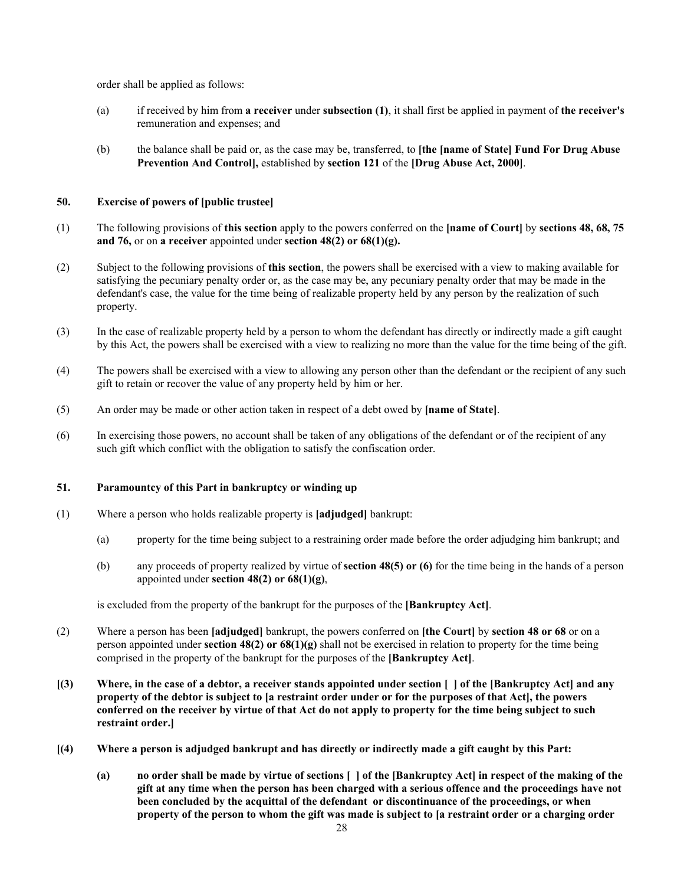<span id="page-27-0"></span>order shall be applied as follows:

- (a) if received by him from **a receiver** under **subsection (1)**, it shall first be applied in payment of **the receiver's** remuneration and expenses; and
- (b) the balance shall be paid or, as the case may be, transferred, to **[the [name of State] Fund For Drug Abuse Prevention And Control],** established by **section 121** of the **[Drug Abuse Act, 2000]**.

# **50. Exercise of powers of [public trustee]**

- (1) The following provisions of **this section** apply to the powers conferred on the **[name of Court]** by **sections 48, 68, 75 and 76,** or on **a receiver** appointed under **section 48(2) or 68(1)(g).**
- (2) Subject to the following provisions of **this section**, the powers shall be exercised with a view to making available for satisfying the pecuniary penalty order or, as the case may be, any pecuniary penalty order that may be made in the defendant's case, the value for the time being of realizable property held by any person by the realization of such property.
- (3) In the case of realizable property held by a person to whom the defendant has directly or indirectly made a gift caught by this Act, the powers shall be exercised with a view to realizing no more than the value for the time being of the gift.
- (4) The powers shall be exercised with a view to allowing any person other than the defendant or the recipient of any such gift to retain or recover the value of any property held by him or her.
- (5) An order may be made or other action taken in respect of a debt owed by **[name of State]**.
- (6) In exercising those powers, no account shall be taken of any obligations of the defendant or of the recipient of any such gift which conflict with the obligation to satisfy the confiscation order.

## **51. Paramountcy of this Part in bankruptcy or winding up**

- (1) Where a person who holds realizable property is **[adjudged]** bankrupt:
	- (a) property for the time being subject to a restraining order made before the order adjudging him bankrupt; and
	- (b) any proceeds of property realized by virtue of **section 48(5) or (6)** for the time being in the hands of a person appointed under **section 48(2) or 68(1)(g)**,

is excluded from the property of the bankrupt for the purposes of the **[Bankruptcy Act]**.

- (2) Where a person has been **[adjudged]** bankrupt, the powers conferred on **[the Court]** by **section 48 or 68** or on a person appointed under **section 48(2) or 68(1)(g)** shall not be exercised in relation to property for the time being comprised in the property of the bankrupt for the purposes of the **[Bankruptcy Act]**.
- **[(3) Where, in the case of a debtor, a receiver stands appointed under section [ ] of the [Bankruptcy Act] and any property of the debtor is subject to [a restraint order under or for the purposes of that Act], the powers conferred on the receiver by virtue of that Act do not apply to property for the time being subject to such restraint order.]**
- **[(4) Where a person is adjudged bankrupt and has directly or indirectly made a gift caught by this Part:** 
	- **(a) no order shall be made by virtue of sections [ ] of the [Bankruptcy Act] in respect of the making of the gift at any time when the person has been charged with a serious offence and the proceedings have not been concluded by the acquittal of the defendant or discontinuance of the proceedings, or when property of the person to whom the gift was made is subject to [a restraint order or a charging order**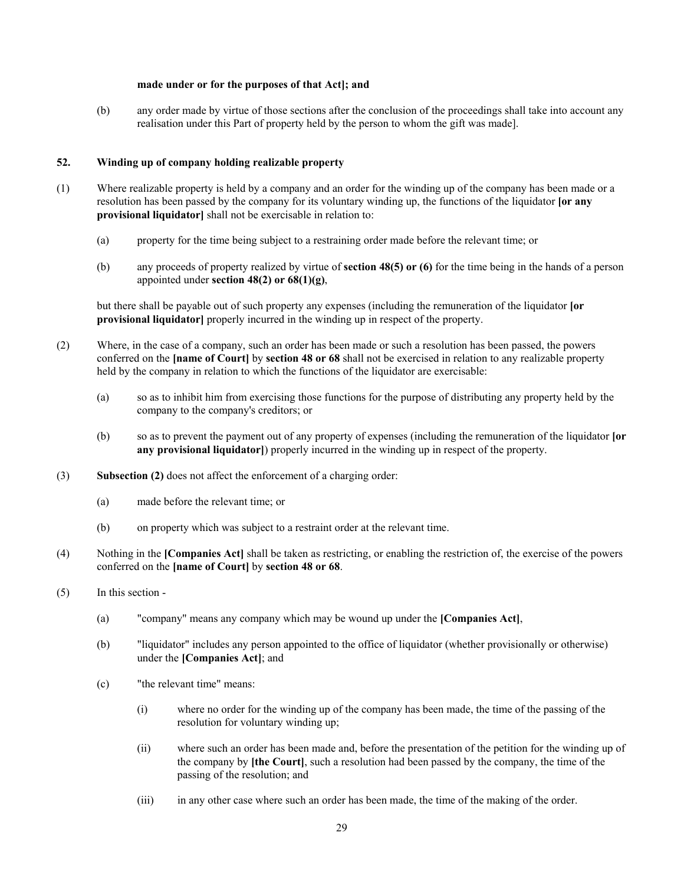#### **made under or for the purposes of that Act]; and**

<span id="page-28-0"></span>(b) any order made by virtue of those sections after the conclusion of the proceedings shall take into account any realisation under this Part of property held by the person to whom the gift was made].

#### **52. Winding up of company holding realizable property**

- (1) Where realizable property is held by a company and an order for the winding up of the company has been made or a resolution has been passed by the company for its voluntary winding up, the functions of the liquidator **[or any provisional liquidator]** shall not be exercisable in relation to:
	- (a) property for the time being subject to a restraining order made before the relevant time; or
	- (b) any proceeds of property realized by virtue of **section 48(5) or (6)** for the time being in the hands of a person appointed under **section 48(2) or 68(1)(g)**,

but there shall be payable out of such property any expenses (including the remuneration of the liquidator **[or provisional liquidator]** properly incurred in the winding up in respect of the property.

- (2) Where, in the case of a company, such an order has been made or such a resolution has been passed, the powers conferred on the **[name of Court]** by **section 48 or 68** shall not be exercised in relation to any realizable property held by the company in relation to which the functions of the liquidator are exercisable:
	- (a) so as to inhibit him from exercising those functions for the purpose of distributing any property held by the company to the company's creditors; or
	- (b) so as to prevent the payment out of any property of expenses (including the remuneration of the liquidator **[or any provisional liquidator]**) properly incurred in the winding up in respect of the property.
- (3) **Subsection (2)** does not affect the enforcement of a charging order:
	- (a) made before the relevant time; or
	- (b) on property which was subject to a restraint order at the relevant time.
- (4) Nothing in the **[Companies Act]** shall be taken as restricting, or enabling the restriction of, the exercise of the powers conferred on the **[name of Court]** by **section 48 or 68**.
- (5) In this section
	- (a) "company" means any company which may be wound up under the **[Companies Act]**,
	- (b) "liquidator" includes any person appointed to the office of liquidator (whether provisionally or otherwise) under the **[Companies Act]**; and
	- (c) "the relevant time" means:
		- (i) where no order for the winding up of the company has been made, the time of the passing of the resolution for voluntary winding up;
		- (ii) where such an order has been made and, before the presentation of the petition for the winding up of the company by **[the Court]**, such a resolution had been passed by the company, the time of the passing of the resolution; and
		- (iii) in any other case where such an order has been made, the time of the making of the order.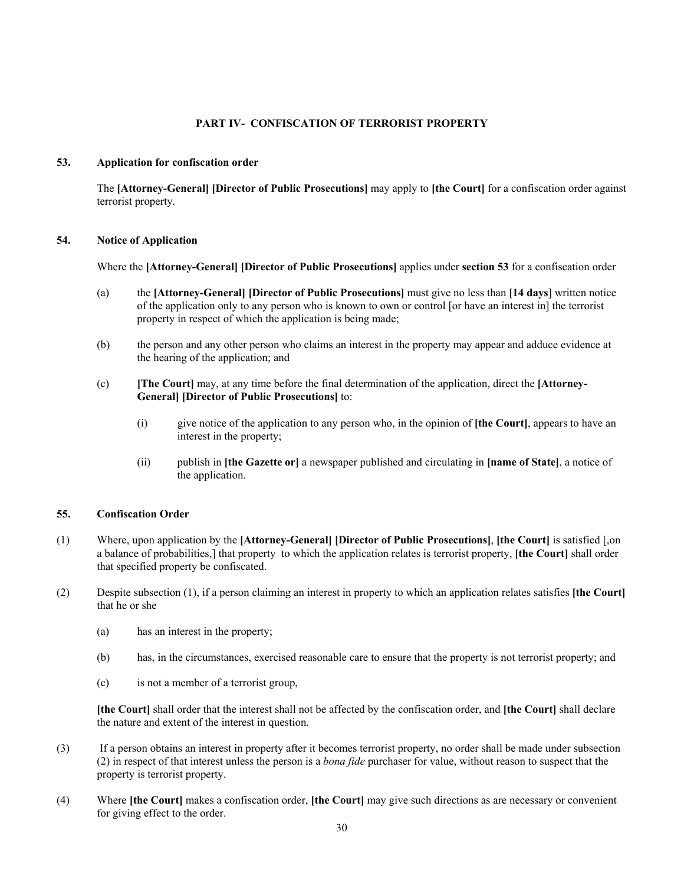# **PART IV- CONFISCATION OF TERRORIST PROPERTY**

# <span id="page-29-0"></span>**53. Application for confiscation order**

The **[Attorney-General] [Director of Public Prosecutions]** may apply to **[the Court]** for a confiscation order against terrorist property.

# **54. Notice of Application**

Where the **[Attorney-General] [Director of Public Prosecutions]** applies under **section 53** for a confiscation order

- (a) the **[Attorney-General] [Director of Public Prosecutions]** must give no less than **[14 days**] written notice of the application only to any person who is known to own or control [or have an interest in] the terrorist property in respect of which the application is being made;
- (b) the person and any other person who claims an interest in the property may appear and adduce evidence at the hearing of the application; and
- (c) **[The Court]** may, at any time before the final determination of the application, direct the **[Attorney-General] [Director of Public Prosecutions]** to:
	- (i) give notice of the application to any person who, in the opinion of **[the Court]**, appears to have an interest in the property;
	- (ii) publish in **[the Gazette or]** a newspaper published and circulating in **[name of State]**, a notice of the application.

#### **55. Confiscation Order**

- (1) Where, upon application by the **[Attorney-General] [Director of Public Prosecutions]**, **[the Court]** is satisfied [,on a balance of probabilities,] that property to which the application relates is terrorist property, **[the Court]** shall order that specified property be confiscated.
- (2) Despite subsection (1), if a person claiming an interest in property to which an application relates satisfies **[the Court]**  that he or she
	- (a) has an interest in the property;
	- (b) has, in the circumstances, exercised reasonable care to ensure that the property is not terrorist property; and
	- (c) is not a member of a terrorist group,

**[the Court]** shall order that the interest shall not be affected by the confiscation order, and **[the Court]** shall declare the nature and extent of the interest in question.

- (3) If a person obtains an interest in property after it becomes terrorist property, no order shall be made under subsection (2) in respect of that interest unless the person is a *bona fide* purchaser for value, without reason to suspect that the property is terrorist property.
- (4) Where **[the Court]** makes a confiscation order, **[the Court]** may give such directions as are necessary or convenient for giving effect to the order.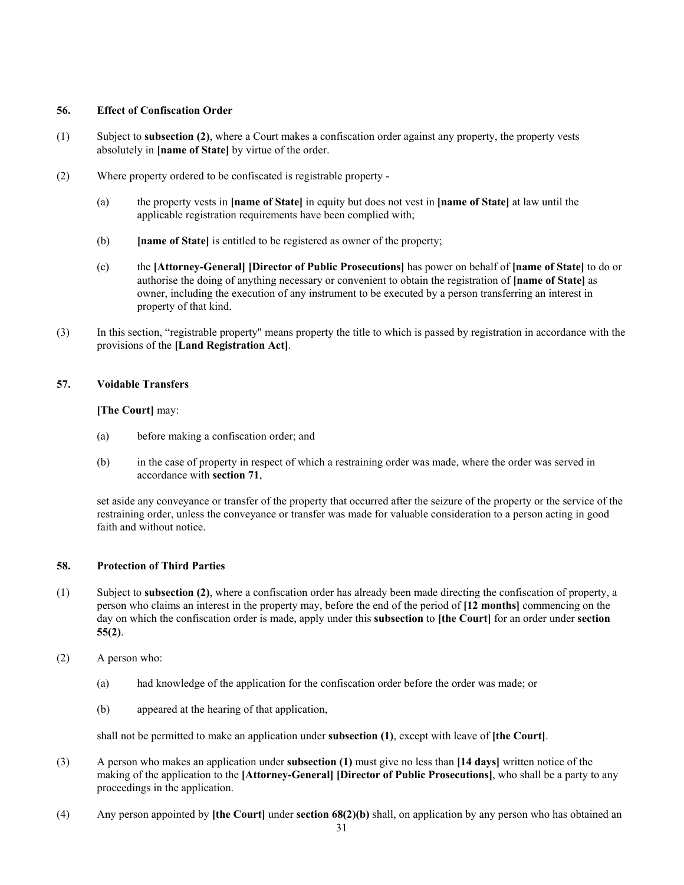# <span id="page-30-0"></span>**56. Effect of Confiscation Order**

- (1) Subject to **subsection (2)**, where a Court makes a confiscation order against any property, the property vests absolutely in **[name of State]** by virtue of the order.
- (2) Where property ordered to be confiscated is registrable property
	- (a) the property vests in **[name of State]** in equity but does not vest in **[name of State]** at law until the applicable registration requirements have been complied with;
	- (b) **[name of State]** is entitled to be registered as owner of the property;
	- (c) the **[Attorney-General] [Director of Public Prosecutions]** has power on behalf of **[name of State]** to do or authorise the doing of anything necessary or convenient to obtain the registration of **[name of State]** as owner, including the execution of any instrument to be executed by a person transferring an interest in property of that kind.
- (3) In this section, "registrable property" means property the title to which is passed by registration in accordance with the provisions of the **[Land Registration Act]**.

# **57. Voidable Transfers**

# **[The Court]** may:

- (a) before making a confiscation order; and
- (b) in the case of property in respect of which a restraining order was made, where the order was served in accordance with **section 71**,

set aside any conveyance or transfer of the property that occurred after the seizure of the property or the service of the restraining order, unless the conveyance or transfer was made for valuable consideration to a person acting in good faith and without notice.

# **58. Protection of Third Parties**

- (1) Subject to **subsection (2)**, where a confiscation order has already been made directing the confiscation of property, a person who claims an interest in the property may, before the end of the period of **[12 months]** commencing on the day on which the confiscation order is made, apply under this **subsection** to **[the Court]** for an order under **section 55(2)**.
- (2) A person who:
	- (a) had knowledge of the application for the confiscation order before the order was made; or
	- (b) appeared at the hearing of that application,

shall not be permitted to make an application under **subsection (1)**, except with leave of **[the Court]**.

- (3) A person who makes an application under **subsection (1)** must give no less than **[14 days]** written notice of the making of the application to the **[Attorney-General] [Director of Public Prosecutions]**, who shall be a party to any proceedings in the application.
- (4) Any person appointed by **[the Court]** under **section 68(2)(b)** shall, on application by any person who has obtained an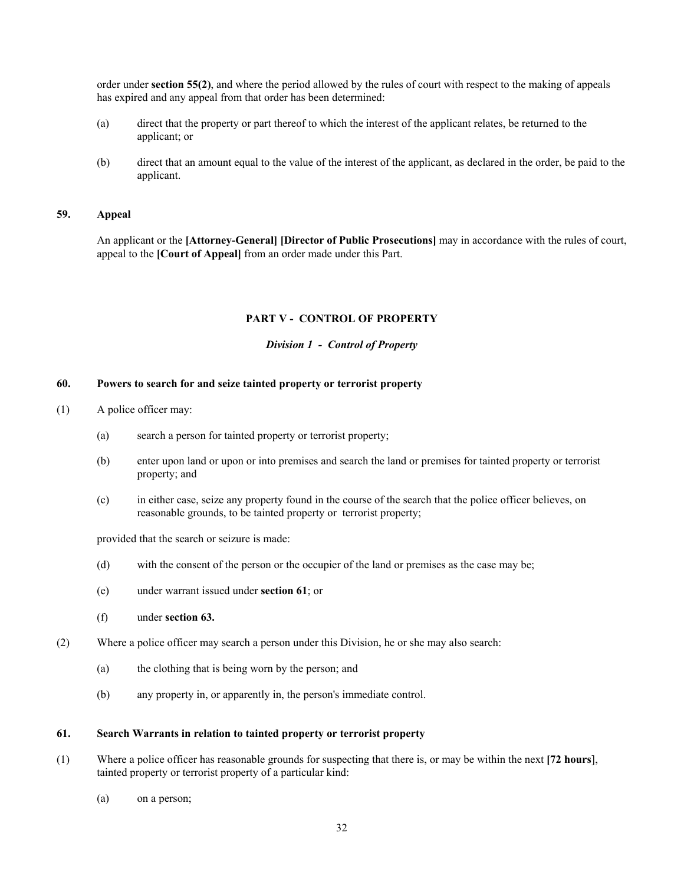<span id="page-31-0"></span>order under **section 55(2)**, and where the period allowed by the rules of court with respect to the making of appeals has expired and any appeal from that order has been determined:

- (a) direct that the property or part thereof to which the interest of the applicant relates, be returned to the applicant; or
- (b) direct that an amount equal to the value of the interest of the applicant, as declared in the order, be paid to the applicant.

# **59. Appeal**

 An applicant or the **[Attorney-General] [Director of Public Prosecutions]** may in accordance with the rules of court, appeal to the **[Court of Appeal]** from an order made under this Part.

#### **PART V - CONTROL OF PROPERTY**

#### *Division 1 - Control of Property*

# **60. Powers to search for and seize tainted property or terrorist property**

- (1) A police officer may:
	- (a) search a person for tainted property or terrorist property;
	- (b) enter upon land or upon or into premises and search the land or premises for tainted property or terrorist property; and
	- (c) in either case, seize any property found in the course of the search that the police officer believes, on reasonable grounds, to be tainted property or terrorist property;

provided that the search or seizure is made:

- (d) with the consent of the person or the occupier of the land or premises as the case may be;
- (e) under warrant issued under **section 61**; or
- (f) under **section 63.**
- (2) Where a police officer may search a person under this Division, he or she may also search:
	- (a) the clothing that is being worn by the person; and
	- (b) any property in, or apparently in, the person's immediate control.

#### **61. Search Warrants in relation to tainted property or terrorist property**

- (1) Where a police officer has reasonable grounds for suspecting that there is, or may be within the next **[72 hours**], tainted property or terrorist property of a particular kind:
	- (a) on a person;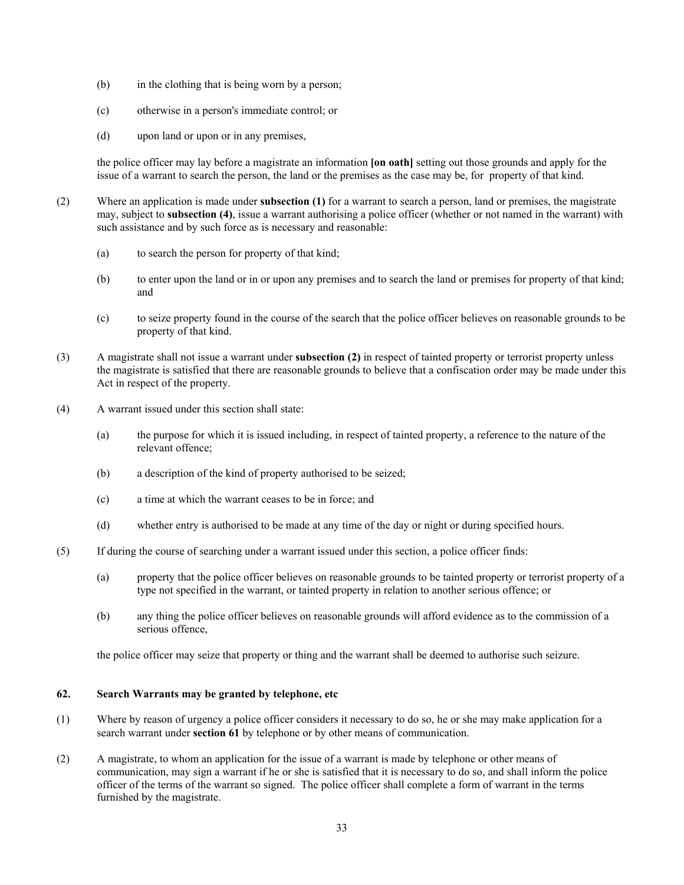- <span id="page-32-0"></span>(b) in the clothing that is being worn by a person;
- (c) otherwise in a person's immediate control; or
- (d) upon land or upon or in any premises,

the police officer may lay before a magistrate an information **[on oath]** setting out those grounds and apply for the issue of a warrant to search the person, the land or the premises as the case may be, for property of that kind.

- (2) Where an application is made under **subsection (1)** for a warrant to search a person, land or premises, the magistrate may, subject to **subsection (4)**, issue a warrant authorising a police officer (whether or not named in the warrant) with such assistance and by such force as is necessary and reasonable:
	- (a) to search the person for property of that kind;
	- (b) to enter upon the land or in or upon any premises and to search the land or premises for property of that kind; and
	- (c) to seize property found in the course of the search that the police officer believes on reasonable grounds to be property of that kind.
- (3) A magistrate shall not issue a warrant under **subsection (2)** in respect of tainted property or terrorist property unless the magistrate is satisfied that there are reasonable grounds to believe that a confiscation order may be made under this Act in respect of the property.
- (4) A warrant issued under this section shall state:
	- (a) the purpose for which it is issued including, in respect of tainted property, a reference to the nature of the relevant offence;
	- (b) a description of the kind of property authorised to be seized;
	- (c) a time at which the warrant ceases to be in force; and
	- (d) whether entry is authorised to be made at any time of the day or night or during specified hours.
- (5) If during the course of searching under a warrant issued under this section, a police officer finds:
	- (a) property that the police officer believes on reasonable grounds to be tainted property or terrorist property of a type not specified in the warrant, or tainted property in relation to another serious offence; or
	- (b) any thing the police officer believes on reasonable grounds will afford evidence as to the commission of a serious offence,

the police officer may seize that property or thing and the warrant shall be deemed to authorise such seizure.

## **62. Search Warrants may be granted by telephone, etc**

- (1) Where by reason of urgency a police officer considers it necessary to do so, he or she may make application for a search warrant under **section 61** by telephone or by other means of communication.
- (2) A magistrate, to whom an application for the issue of a warrant is made by telephone or other means of communication, may sign a warrant if he or she is satisfied that it is necessary to do so, and shall inform the police officer of the terms of the warrant so signed. The police officer shall complete a form of warrant in the terms furnished by the magistrate.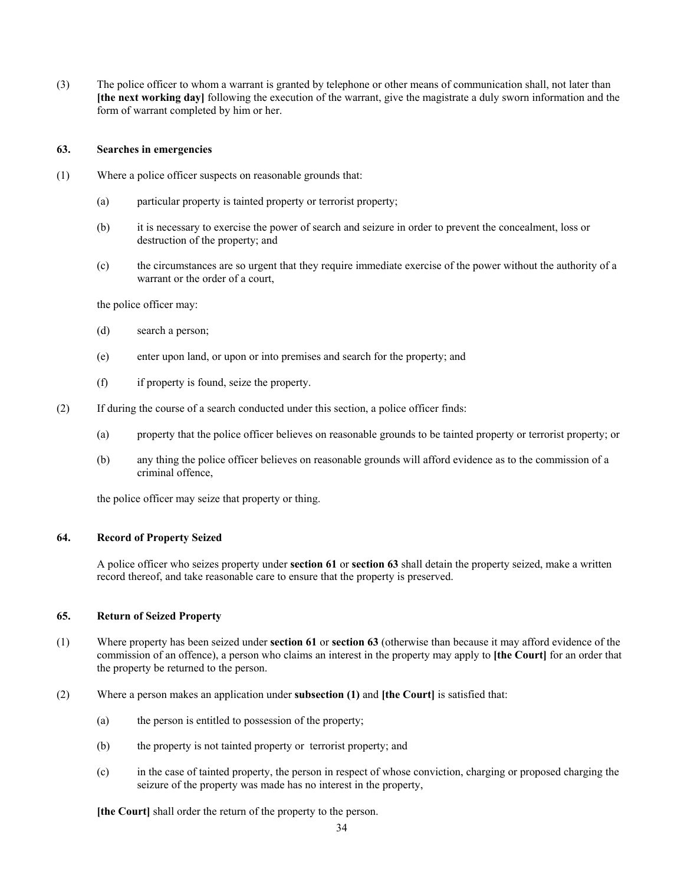<span id="page-33-0"></span>(3) The police officer to whom a warrant is granted by telephone or other means of communication shall, not later than **[the next working day]** following the execution of the warrant, give the magistrate a duly sworn information and the form of warrant completed by him or her.

## **63. Searches in emergencies**

- (1) Where a police officer suspects on reasonable grounds that:
	- (a) particular property is tainted property or terrorist property;
	- (b) it is necessary to exercise the power of search and seizure in order to prevent the concealment, loss or destruction of the property; and
	- (c) the circumstances are so urgent that they require immediate exercise of the power without the authority of a warrant or the order of a court,

the police officer may:

- (d) search a person;
- (e) enter upon land, or upon or into premises and search for the property; and
- (f) if property is found, seize the property.
- (2) If during the course of a search conducted under this section, a police officer finds:
	- (a) property that the police officer believes on reasonable grounds to be tainted property or terrorist property; or
	- (b) any thing the police officer believes on reasonable grounds will afford evidence as to the commission of a criminal offence,

the police officer may seize that property or thing.

# **64. Record of Property Seized**

A police officer who seizes property under **section 61** or **section 63** shall detain the property seized, make a written record thereof, and take reasonable care to ensure that the property is preserved.

# **65. Return of Seized Property**

- (1) Where property has been seized under **section 61** or **section 63** (otherwise than because it may afford evidence of the commission of an offence), a person who claims an interest in the property may apply to **[the Court]** for an order that the property be returned to the person.
- (2) Where a person makes an application under **subsection (1)** and **[the Court]** is satisfied that:
	- (a) the person is entitled to possession of the property;
	- (b) the property is not tainted property or terrorist property; and
	- (c) in the case of tainted property, the person in respect of whose conviction, charging or proposed charging the seizure of the property was made has no interest in the property,

**[the Court]** shall order the return of the property to the person.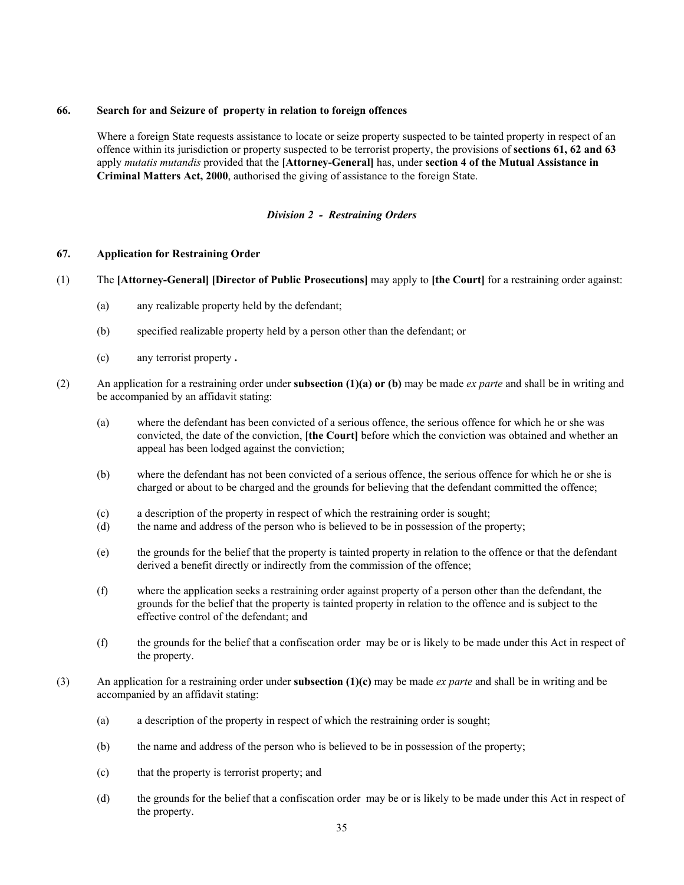# <span id="page-34-0"></span>**66. Search for and Seizure of property in relation to foreign offences**

Where a foreign State requests assistance to locate or seize property suspected to be tainted property in respect of an offence within its jurisdiction or property suspected to be terrorist property, the provisions of **sections 61, 62 and 63** apply *mutatis mutandis* provided that the **[Attorney-General]** has, under **section 4 of the Mutual Assistance in Criminal Matters Act, 2000**, authorised the giving of assistance to the foreign State.

# *Division 2 - Restraining Orders*

# **67. Application for Restraining Order**

- (1) The **[Attorney-General] [Director of Public Prosecutions]** may apply to **[the Court]** for a restraining order against:
	- (a) any realizable property held by the defendant;
	- (b) specified realizable property held by a person other than the defendant; or
	- (c) any terrorist property **.**
- (2) An application for a restraining order under **subsection (1)(a) or (b)** may be made *ex parte* and shall be in writing and be accompanied by an affidavit stating:
	- (a) where the defendant has been convicted of a serious offence, the serious offence for which he or she was convicted, the date of the conviction, **[the Court]** before which the conviction was obtained and whether an appeal has been lodged against the conviction;
	- (b) where the defendant has not been convicted of a serious offence, the serious offence for which he or she is charged or about to be charged and the grounds for believing that the defendant committed the offence;
	- (c) a description of the property in respect of which the restraining order is sought;
	- (d) the name and address of the person who is believed to be in possession of the property;
	- (e) the grounds for the belief that the property is tainted property in relation to the offence or that the defendant derived a benefit directly or indirectly from the commission of the offence;
	- (f) where the application seeks a restraining order against property of a person other than the defendant, the grounds for the belief that the property is tainted property in relation to the offence and is subject to the effective control of the defendant; and
	- (f) the grounds for the belief that a confiscation order may be or is likely to be made under this Act in respect of the property.
- (3) An application for a restraining order under **subsection (1)(c)** may be made *ex parte* and shall be in writing and be accompanied by an affidavit stating:
	- (a) a description of the property in respect of which the restraining order is sought;
	- (b) the name and address of the person who is believed to be in possession of the property;
	- (c) that the property is terrorist property; and
	- (d) the grounds for the belief that a confiscation order may be or is likely to be made under this Act in respect of the property.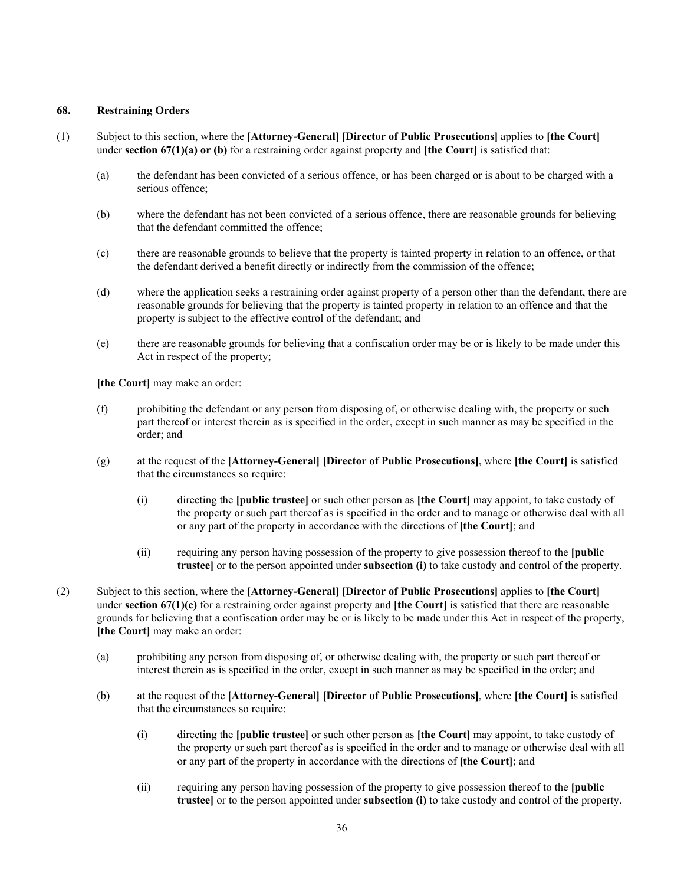# <span id="page-35-0"></span>**68. Restraining Orders**

- (1) Subject to this section, where the **[Attorney-General] [Director of Public Prosecutions]** applies to **[the Court]** under **section 67(1)(a) or (b)** for a restraining order against property and **[the Court]** is satisfied that:
	- (a) the defendant has been convicted of a serious offence, or has been charged or is about to be charged with a serious offence;
	- (b) where the defendant has not been convicted of a serious offence, there are reasonable grounds for believing that the defendant committed the offence;
	- (c) there are reasonable grounds to believe that the property is tainted property in relation to an offence, or that the defendant derived a benefit directly or indirectly from the commission of the offence;
	- (d) where the application seeks a restraining order against property of a person other than the defendant, there are reasonable grounds for believing that the property is tainted property in relation to an offence and that the property is subject to the effective control of the defendant; and
	- (e) there are reasonable grounds for believing that a confiscation order may be or is likely to be made under this Act in respect of the property;

**[the Court]** may make an order:

- (f) prohibiting the defendant or any person from disposing of, or otherwise dealing with, the property or such part thereof or interest therein as is specified in the order, except in such manner as may be specified in the order; and
- (g) at the request of the **[Attorney-General] [Director of Public Prosecutions]**, where **[the Court]** is satisfied that the circumstances so require:
	- (i) directing the **[public trustee]** or such other person as **[the Court]** may appoint, to take custody of the property or such part thereof as is specified in the order and to manage or otherwise deal with all or any part of the property in accordance with the directions of **[the Court]**; and
	- (ii) requiring any person having possession of the property to give possession thereof to the **[public trustee]** or to the person appointed under **subsection (i)** to take custody and control of the property.
- (2) Subject to this section, where the **[Attorney-General] [Director of Public Prosecutions]** applies to **[the Court]** under **section 67(1)(c)** for a restraining order against property and **[the Court]** is satisfied that there are reasonable grounds for believing that a confiscation order may be or is likely to be made under this Act in respect of the property, **[the Court]** may make an order:
	- (a) prohibiting any person from disposing of, or otherwise dealing with, the property or such part thereof or interest therein as is specified in the order, except in such manner as may be specified in the order; and
	- (b) at the request of the **[Attorney-General] [Director of Public Prosecutions]**, where **[the Court]** is satisfied that the circumstances so require:
		- (i) directing the **[public trustee]** or such other person as **[the Court]** may appoint, to take custody of the property or such part thereof as is specified in the order and to manage or otherwise deal with all or any part of the property in accordance with the directions of **[the Court]**; and
		- (ii) requiring any person having possession of the property to give possession thereof to the **[public trustee]** or to the person appointed under **subsection (i)** to take custody and control of the property.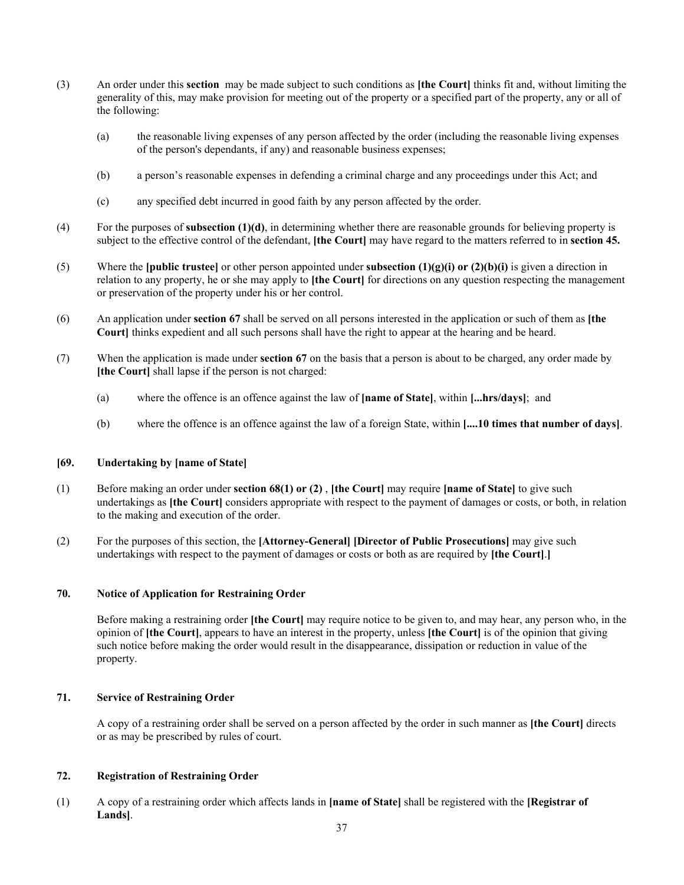- <span id="page-36-0"></span>(3) An order under this **section** may be made subject to such conditions as **[the Court]** thinks fit and, without limiting the generality of this, may make provision for meeting out of the property or a specified part of the property, any or all of the following:
	- (a) the reasonable living expenses of any person affected by the order (including the reasonable living expenses of the person's dependants, if any) and reasonable business expenses;
	- (b) a person's reasonable expenses in defending a criminal charge and any proceedings under this Act; and
	- (c) any specified debt incurred in good faith by any person affected by the order.
- (4) For the purposes of **subsection (1)(d)**, in determining whether there are reasonable grounds for believing property is subject to the effective control of the defendant, **[the Court]** may have regard to the matters referred to in **section 45.**
- (5) Where the **[public trustee]** or other person appointed under **subsection (1)(g)(i) or (2)(b)(i)** is given a direction in relation to any property, he or she may apply to **[the Court]** for directions on any question respecting the management or preservation of the property under his or her control.
- (6) An application under **section 67** shall be served on all persons interested in the application or such of them as **[the Court]** thinks expedient and all such persons shall have the right to appear at the hearing and be heard.
- (7) When the application is made under **section 67** on the basis that a person is about to be charged, any order made by **[the Court]** shall lapse if the person is not charged:
	- (a) where the offence is an offence against the law of **[name of State]**, within **[...hrs/days]**; and
	- (b) where the offence is an offence against the law of a foreign State, within **[....10 times that number of days]**.

#### **[69. Undertaking by [name of State]**

- (1) Before making an order under **section 68(1) or (2)** , **[the Court]** may require **[name of State]** to give such undertakings as **[the Court]** considers appropriate with respect to the payment of damages or costs, or both, in relation to the making and execution of the order.
- (2) For the purposes of this section, the **[Attorney-General] [Director of Public Prosecutions]** may give such undertakings with respect to the payment of damages or costs or both as are required by **[the Court]**.**]**

#### **70. Notice of Application for Restraining Order**

Before making a restraining order **[the Court]** may require notice to be given to, and may hear, any person who, in the opinion of **[the Court]**, appears to have an interest in the property, unless **[the Court]** is of the opinion that giving such notice before making the order would result in the disappearance, dissipation or reduction in value of the property.

# **71. Service of Restraining Order**

A copy of a restraining order shall be served on a person affected by the order in such manner as **[the Court]** directs or as may be prescribed by rules of court.

#### **72. Registration of Restraining Order**

(1) A copy of a restraining order which affects lands in **[name of State]** shall be registered with the **[Registrar of Lands]**.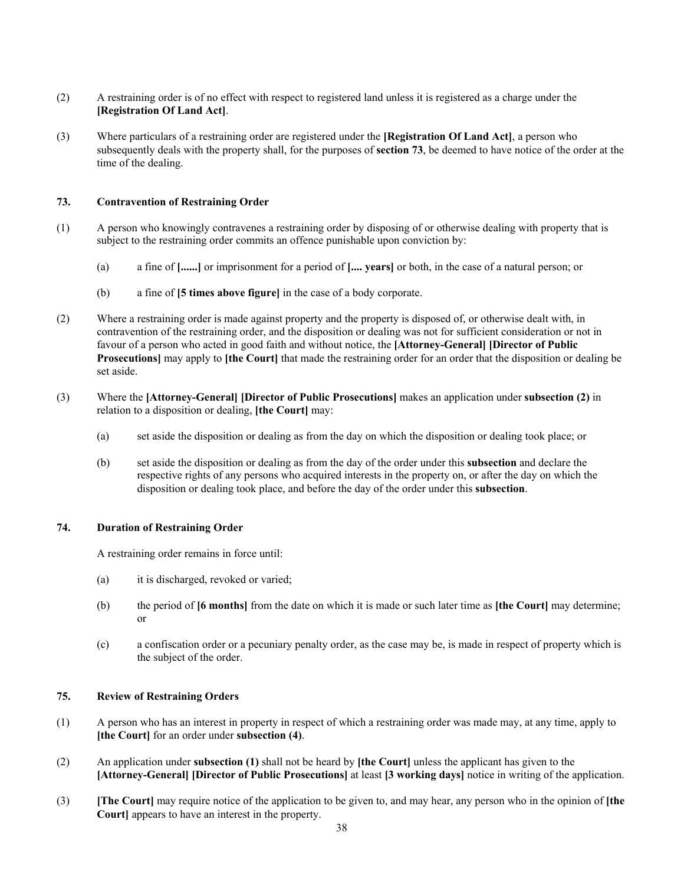- <span id="page-37-0"></span>(2) A restraining order is of no effect with respect to registered land unless it is registered as a charge under the **[Registration Of Land Act]**.
- (3) Where particulars of a restraining order are registered under the **[Registration Of Land Act]**, a person who subsequently deals with the property shall, for the purposes of **section 73**, be deemed to have notice of the order at the time of the dealing.

# **73. Contravention of Restraining Order**

- (1) A person who knowingly contravenes a restraining order by disposing of or otherwise dealing with property that is subject to the restraining order commits an offence punishable upon conviction by:
	- (a) a fine of **[......]** or imprisonment for a period of **[.... years]** or both, in the case of a natural person; or
	- (b) a fine of **[5 times above figure]** in the case of a body corporate.
- (2) Where a restraining order is made against property and the property is disposed of, or otherwise dealt with, in contravention of the restraining order, and the disposition or dealing was not for sufficient consideration or not in favour of a person who acted in good faith and without notice, the **[Attorney-General] [Director of Public Prosecutions**] may apply to **[the Court]** that made the restraining order for an order that the disposition or dealing be set aside.
- (3) Where the **[Attorney-General] [Director of Public Prosecutions]** makes an application under **subsection (2)** in relation to a disposition or dealing, **[the Court]** may:
	- (a) set aside the disposition or dealing as from the day on which the disposition or dealing took place; or
	- (b) set aside the disposition or dealing as from the day of the order under this **subsection** and declare the respective rights of any persons who acquired interests in the property on, or after the day on which the disposition or dealing took place, and before the day of the order under this **subsection**.

#### **74. Duration of Restraining Order**

A restraining order remains in force until:

- (a) it is discharged, revoked or varied;
- (b) the period of **[6 months]** from the date on which it is made or such later time as **[the Court]** may determine; or
- (c) a confiscation order or a pecuniary penalty order, as the case may be, is made in respect of property which is the subject of the order.

# **75. Review of Restraining Orders**

- (1) A person who has an interest in property in respect of which a restraining order was made may, at any time, apply to **[the Court]** for an order under **subsection (4)**.
- (2) An application under **subsection (1)** shall not be heard by **[the Court]** unless the applicant has given to the **[Attorney-General] [Director of Public Prosecutions]** at least **[3 working days]** notice in writing of the application.
- (3) **[The Court]** may require notice of the application to be given to, and may hear, any person who in the opinion of **[the Court]** appears to have an interest in the property.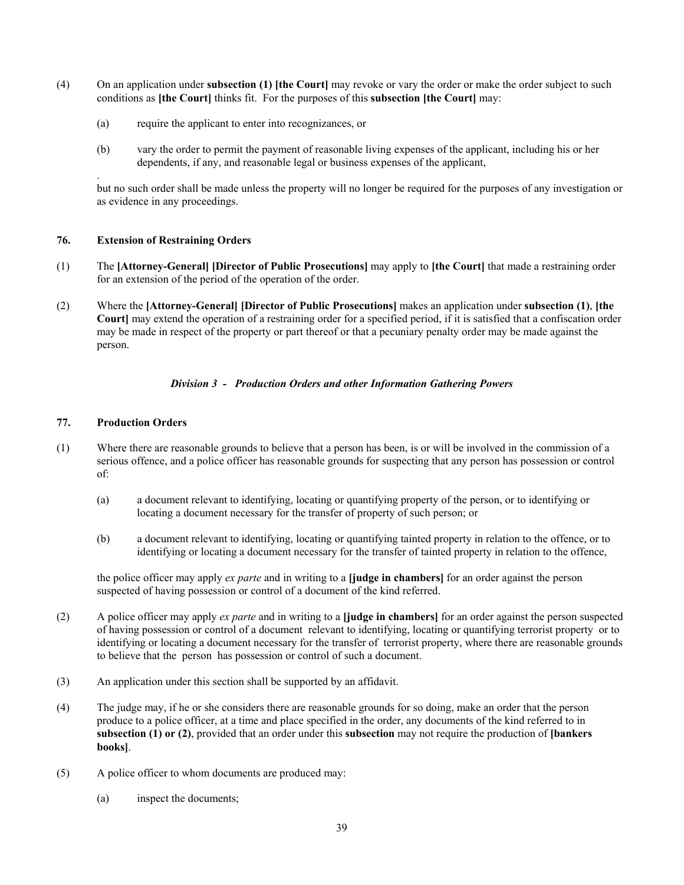- <span id="page-38-0"></span>(4) On an application under **subsection (1) [the Court]** may revoke or vary the order or make the order subject to such conditions as **[the Court]** thinks fit. For the purposes of this **subsection [the Court]** may:
	- (a) require the applicant to enter into recognizances, or
	- (b) vary the order to permit the payment of reasonable living expenses of the applicant, including his or her dependents, if any, and reasonable legal or business expenses of the applicant,

but no such order shall be made unless the property will no longer be required for the purposes of any investigation or as evidence in any proceedings.

# **76. Extension of Restraining Orders**

.

- (1) The **[Attorney-General] [Director of Public Prosecutions]** may apply to **[the Court]** that made a restraining order for an extension of the period of the operation of the order.
- (2) Where the **[Attorney-General] [Director of Public Prosecutions]** makes an application under **subsection (1)**, **[the Court]** may extend the operation of a restraining order for a specified period, if it is satisfied that a confiscation order may be made in respect of the property or part thereof or that a pecuniary penalty order may be made against the person.

# *Division 3 - Production Orders and other Information Gathering Powers*

# **77. Production Orders**

- (1) Where there are reasonable grounds to believe that a person has been, is or will be involved in the commission of a serious offence, and a police officer has reasonable grounds for suspecting that any person has possession or control of:
	- (a) a document relevant to identifying, locating or quantifying property of the person, or to identifying or locating a document necessary for the transfer of property of such person; or
	- (b) a document relevant to identifying, locating or quantifying tainted property in relation to the offence, or to identifying or locating a document necessary for the transfer of tainted property in relation to the offence,

the police officer may apply *ex parte* and in writing to a **[judge in chambers]** for an order against the person suspected of having possession or control of a document of the kind referred.

- (2) A police officer may apply *ex parte* and in writing to a **[judge in chambers]** for an order against the person suspected of having possession or control of a document relevant to identifying, locating or quantifying terrorist property or to identifying or locating a document necessary for the transfer of terrorist property, where there are reasonable grounds to believe that the person has possession or control of such a document.
- (3) An application under this section shall be supported by an affidavit.
- (4) The judge may, if he or she considers there are reasonable grounds for so doing, make an order that the person produce to a police officer, at a time and place specified in the order, any documents of the kind referred to in **subsection (1) or (2)**, provided that an order under this **subsection** may not require the production of **[bankers books]**.
- (5) A police officer to whom documents are produced may:
	- (a) inspect the documents;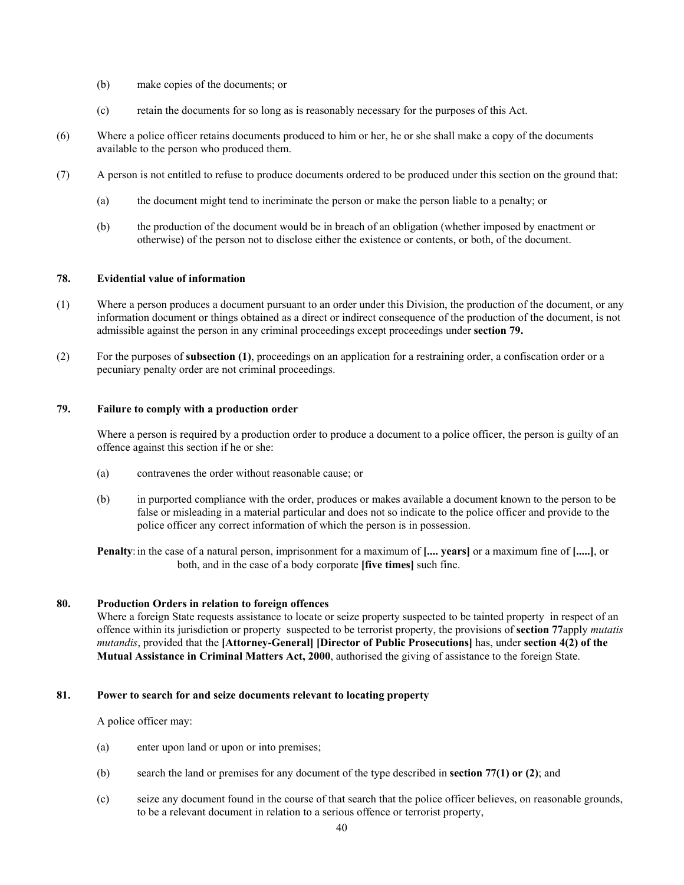- <span id="page-39-0"></span>(b) make copies of the documents; or
- (c) retain the documents for so long as is reasonably necessary for the purposes of this Act.
- (6) Where a police officer retains documents produced to him or her, he or she shall make a copy of the documents available to the person who produced them.
- (7) A person is not entitled to refuse to produce documents ordered to be produced under this section on the ground that:
	- (a) the document might tend to incriminate the person or make the person liable to a penalty; or
	- (b) the production of the document would be in breach of an obligation (whether imposed by enactment or otherwise) of the person not to disclose either the existence or contents, or both, of the document.

# **78. Evidential value of information**

- (1) Where a person produces a document pursuant to an order under this Division, the production of the document, or any information document or things obtained as a direct or indirect consequence of the production of the document, is not admissible against the person in any criminal proceedings except proceedings under **section 79.**
- (2) For the purposes of **subsection (1)**, proceedings on an application for a restraining order, a confiscation order or a pecuniary penalty order are not criminal proceedings.

# **79. Failure to comply with a production order**

Where a person is required by a production order to produce a document to a police officer, the person is guilty of an offence against this section if he or she:

- (a) contravenes the order without reasonable cause; or
- (b) in purported compliance with the order, produces or makes available a document known to the person to be false or misleading in a material particular and does not so indicate to the police officer and provide to the police officer any correct information of which the person is in possession.

**Penalty**: in the case of a natural person, imprisonment for a maximum of **[.... years]** or a maximum fine of **[.....]**, or both, and in the case of a body corporate **[five times]** such fine.

#### **80. Production Orders in relation to foreign offences**

Where a foreign State requests assistance to locate or seize property suspected to be tainted property in respect of an offence within its jurisdiction or property suspected to be terrorist property, the provisions of **section 77**apply *mutatis mutandis*, provided that the **[Attorney-General] [Director of Public Prosecutions]** has, under **section 4(2) of the Mutual Assistance in Criminal Matters Act, 2000**, authorised the giving of assistance to the foreign State.

## **81. Power to search for and seize documents relevant to locating property**

A police officer may:

- (a) enter upon land or upon or into premises;
- (b) search the land or premises for any document of the type described in **section 77(1) or (2)**; and
- (c) seize any document found in the course of that search that the police officer believes, on reasonable grounds, to be a relevant document in relation to a serious offence or terrorist property,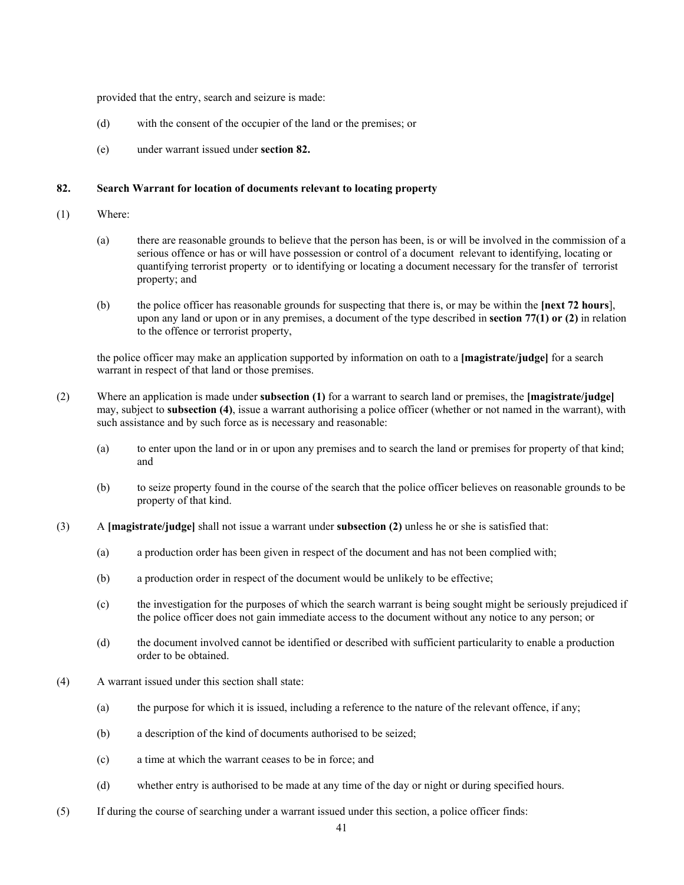<span id="page-40-0"></span>provided that the entry, search and seizure is made:

- (d) with the consent of the occupier of the land or the premises; or
- (e) under warrant issued under **section 82.**

#### **82. Search Warrant for location of documents relevant to locating property**

- (1) Where:
	- (a) there are reasonable grounds to believe that the person has been, is or will be involved in the commission of a serious offence or has or will have possession or control of a document relevant to identifying, locating or quantifying terrorist property or to identifying or locating a document necessary for the transfer of terrorist property; and
	- (b) the police officer has reasonable grounds for suspecting that there is, or may be within the **[next 72 hours**], upon any land or upon or in any premises, a document of the type described in **section 77(1) or (2)** in relation to the offence or terrorist property,

the police officer may make an application supported by information on oath to a **[magistrate/judge]** for a search warrant in respect of that land or those premises.

- (2) Where an application is made under **subsection (1)** for a warrant to search land or premises, the **[magistrate/judge]** may, subject to **subsection (4)**, issue a warrant authorising a police officer (whether or not named in the warrant), with such assistance and by such force as is necessary and reasonable:
	- (a) to enter upon the land or in or upon any premises and to search the land or premises for property of that kind; and
	- (b) to seize property found in the course of the search that the police officer believes on reasonable grounds to be property of that kind.
- (3) A **[magistrate/judge]** shall not issue a warrant under **subsection (2)** unless he or she is satisfied that:
	- (a) a production order has been given in respect of the document and has not been complied with;
	- (b) a production order in respect of the document would be unlikely to be effective;
	- (c) the investigation for the purposes of which the search warrant is being sought might be seriously prejudiced if the police officer does not gain immediate access to the document without any notice to any person; or
	- (d) the document involved cannot be identified or described with sufficient particularity to enable a production order to be obtained.
- (4) A warrant issued under this section shall state:
	- (a) the purpose for which it is issued, including a reference to the nature of the relevant offence, if any;
	- (b) a description of the kind of documents authorised to be seized;
	- (c) a time at which the warrant ceases to be in force; and
	- (d) whether entry is authorised to be made at any time of the day or night or during specified hours.
- (5) If during the course of searching under a warrant issued under this section, a police officer finds: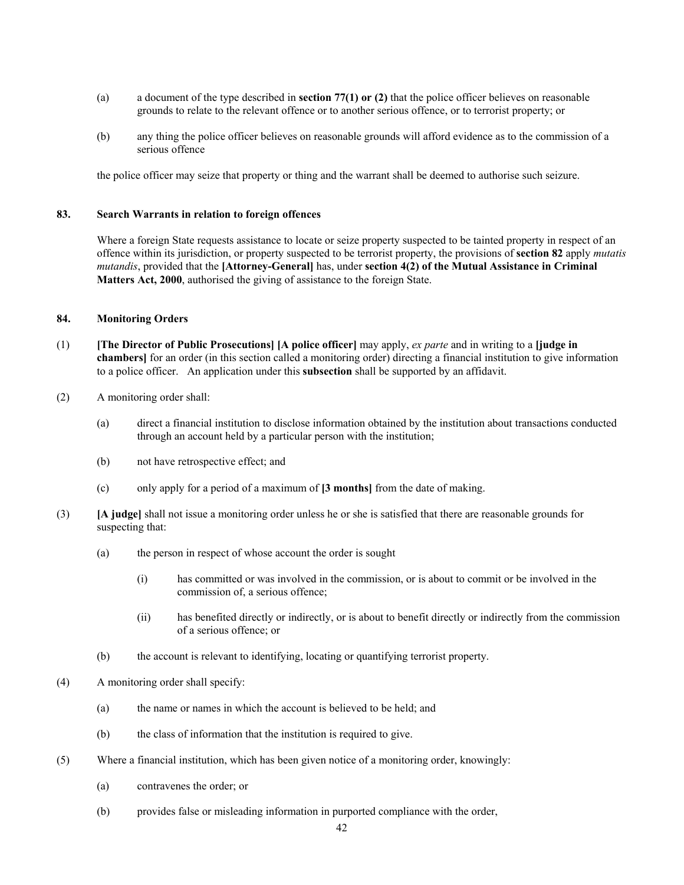- <span id="page-41-0"></span>(a) a document of the type described in **section 77(1) or (2)** that the police officer believes on reasonable grounds to relate to the relevant offence or to another serious offence, or to terrorist property; or
- (b) any thing the police officer believes on reasonable grounds will afford evidence as to the commission of a serious offence

the police officer may seize that property or thing and the warrant shall be deemed to authorise such seizure.

## **83. Search Warrants in relation to foreign offences**

Where a foreign State requests assistance to locate or seize property suspected to be tainted property in respect of an offence within its jurisdiction, or property suspected to be terrorist property, the provisions of **section 82** apply *mutatis mutandis*, provided that the **[Attorney-General]** has, under **section 4(2) of the Mutual Assistance in Criminal Matters Act, 2000**, authorised the giving of assistance to the foreign State.

# **84. Monitoring Orders**

- (1) **[The Director of Public Prosecutions] [A police officer]** may apply, *ex parte* and in writing to a **[judge in chambers]** for an order (in this section called a monitoring order) directing a financial institution to give information to a police officer. An application under this **subsection** shall be supported by an affidavit.
- (2) A monitoring order shall:
	- (a) direct a financial institution to disclose information obtained by the institution about transactions conducted through an account held by a particular person with the institution;
	- (b) not have retrospective effect; and
	- (c) only apply for a period of a maximum of **[3 months]** from the date of making.
- (3) **[A judge]** shall not issue a monitoring order unless he or she is satisfied that there are reasonable grounds for suspecting that:
	- (a) the person in respect of whose account the order is sought
		- (i) has committed or was involved in the commission, or is about to commit or be involved in the commission of, a serious offence;
		- (ii) has benefited directly or indirectly, or is about to benefit directly or indirectly from the commission of a serious offence; or
	- (b) the account is relevant to identifying, locating or quantifying terrorist property.
- (4) A monitoring order shall specify:
	- (a) the name or names in which the account is believed to be held; and
	- (b) the class of information that the institution is required to give.
- (5) Where a financial institution, which has been given notice of a monitoring order, knowingly:
	- (a) contravenes the order; or
	- (b) provides false or misleading information in purported compliance with the order,